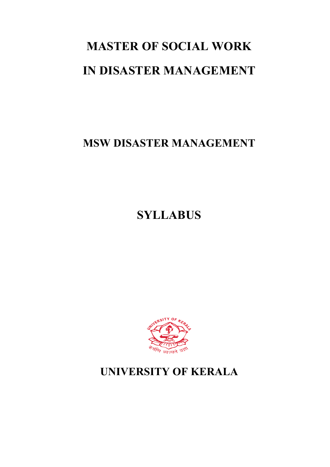# **MASTER OF SOCIAL WORK IN DISASTER MANAGEMENT**

**MSW DISASTER MANAGEMENT**

**SYLLABUS**



## **UNIVERSITY OF KERALA**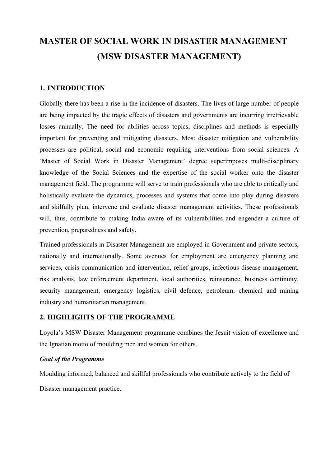### **MASTER OF SOCIAL WORK IN DISASTER MANAGEMENT (MSW DISASTER MANAGEMENT)**

#### **1. INTRODUCTION**

Globally there has been a rise in the incidence of disasters. The lives of large number of people are being impacted by the tragic effects of disasters and governments are incurring irretrievable losses annually. The need for abilities across topics, disciplines and methods is especially important for preventing and mitigating disasters. Most disaster mitigation and vulnerability processes are political, social and economic requiring interventions from social sciences. A 'Master of Social Work in Disaster Management' degree superimposes multi-disciplinary knowledge of the Social Sciences and the expertise of the social worker onto the disaster management field. The programme will serve to train professionals who are able to critically and holistically evaluate the dynamics, processes and systems that come into play during disasters and skilfully plan, intervene and evaluate disaster management activities. These professionals will, thus, contribute to making India aware of its vulnerabilities and engender a culture of prevention, preparedness and safety.

Trained professionals in Disaster Management are employed in Government and private sectors, nationally and internationally. Some avenues for employment are emergency planning and services, crisis communication and intervention, relief groups, infectious disease management, risk analysis, law enforcement department, local authorities, reinsurance, business continuity, security management, emergency logistics, civil defence, petroleum, chemical and mining industry and humanitarian management.

#### **2. HIGHLIGHTS OF THE PROGRAMME**

Loyola's MSW Disaster Management programme combines the Jesuit vision of excellence and the Ignatian motto of moulding men and women for others.

#### *Goal of the Programme*

Moulding informed, balanced and skillful professionals who contribute actively to the field of Disaster management practice.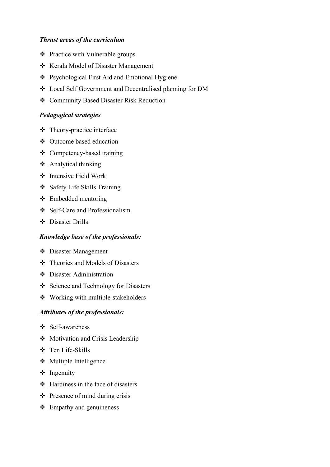#### *Thrust areas of the curriculum*

- $\triangle$  Practice with Vulnerable groups
- v Kerala Model of Disaster Management
- ❖ Psychological First Aid and Emotional Hygiene
- v Local Self Government and Decentralised planning for DM
- v Community Based Disaster Risk Reduction

#### *Pedagogical strategies*

- $\div$  Theory-practice interface
- v Outcome based education
- $\triangleleft$  Competency-based training
- $\triangle$  Analytical thinking
- $\div$  Intensive Field Work
- v Safety Life Skills Training
- $\div$  Embedded mentoring
- v Self-Care and Professionalism
- v Disaster Drills

#### *Knowledge base of the professionals:*

- v Disaster Management
- $\triangleleft$  Theories and Models of Disasters
- v Disaster Administration
- v Science and Technology for Disasters
- $\bullet$  Working with multiple-stakeholders

#### *Attributes of the professionals:*

- v Self-awareness
- $\triangleleft$  Motivation and Crisis Leadership
- v Ten Life-Skills
- $\bullet$  Multiple Intelligence
- $\triangleleft$  Ingenuity
- $\triangleleft$  Hardiness in the face of disasters
- $\triangleleft$  Presence of mind during crisis
- $\div$  Empathy and genuineness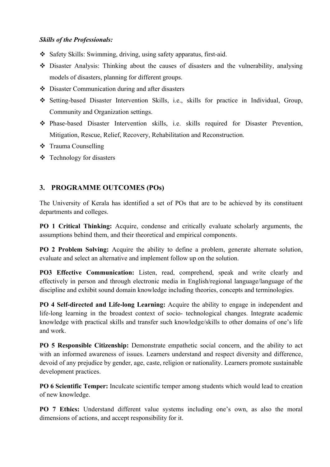#### *Skills of the Professionals:*

- $\triangle$  Safety Skills: Swimming, driving, using safety apparatus, first-aid.
- v Disaster Analysis: Thinking about the causes of disasters and the vulnerability, analysing models of disasters, planning for different groups.
- $\triangle$  Disaster Communication during and after disasters
- v Setting-based Disaster Intervention Skills, i.e., skills for practice in Individual, Group, Community and Organization settings.
- v Phase-based Disaster Intervention skills, i.e. skills required for Disaster Prevention, Mitigation, Rescue, Relief, Recovery, Rehabilitation and Reconstruction.
- **❖** Trauma Counselling
- $\div$  Technology for disasters

#### **3. PROGRAMME OUTCOMES (POs)**

The University of Kerala has identified a set of POs that are to be achieved by its constituent departments and colleges.

**PO 1 Critical Thinking:** Acquire, condense and critically evaluate scholarly arguments, the assumptions behind them, and their theoretical and empirical components.

**PO 2 Problem Solving:** Acquire the ability to define a problem, generate alternate solution, evaluate and select an alternative and implement follow up on the solution.

**PO3 Effective Communication:** Listen, read, comprehend, speak and write clearly and effectively in person and through electronic media in English/regional language/language of the discipline and exhibit sound domain knowledge including theories, concepts and terminologies.

**PO 4 Self-directed and Life-long Learning:** Acquire the ability to engage in independent and life-long learning in the broadest context of socio- technological changes. Integrate academic knowledge with practical skills and transfer such knowledge/skills to other domains of one's life and work.

**PO 5 Responsible Citizenship:** Demonstrate empathetic social concern, and the ability to act with an informed awareness of issues. Learners understand and respect diversity and difference, devoid of any prejudice by gender, age, caste, religion or nationality. Learners promote sustainable development practices.

**PO 6 Scientific Temper:** Inculcate scientific temper among students which would lead to creation of new knowledge.

**PO 7 Ethics:** Understand different value systems including one's own, as also the moral dimensions of actions, and accept responsibility for it.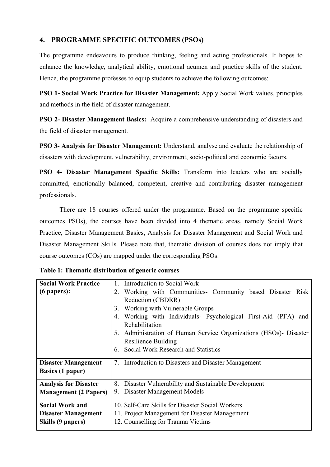#### **4. PROGRAMME SPECIFIC OUTCOMES (PSOs)**

The programme endeavours to produce thinking, feeling and acting professionals. It hopes to enhance the knowledge, analytical ability, emotional acumen and practice skills of the student. Hence, the programme professes to equip students to achieve the following outcomes:

**PSO 1- Social Work Practice for Disaster Management:** Apply Social Work values, principles and methods in the field of disaster management.

**PSO 2- Disaster Management Basics:** Acquire a comprehensive understanding of disasters and the field of disaster management.

**PSO 3- Analysis for Disaster Management:** Understand, analyse and evaluate the relationship of disasters with development, vulnerability, environment, socio-political and economic factors.

**PSO 4- Disaster Management Specific Skills:** Transform into leaders who are socially committed, emotionally balanced, competent, creative and contributing disaster management professionals.

There are 18 courses offered under the programme. Based on the programme specific outcomes PSOs), the courses have been divided into 4 thematic areas, namely Social Work Practice, Disaster Management Basics, Analysis for Disaster Management and Social Work and Disaster Management Skills. Please note that, thematic division of courses does not imply that course outcomes (COs) are mapped under the corresponding PSOs.

| <b>Social Work Practice</b>  | 1. Introduction to Social Work                                                      |  |  |  |  |  |  |  |
|------------------------------|-------------------------------------------------------------------------------------|--|--|--|--|--|--|--|
| $(6$ papers):                | 2. Working with Communities- Community based Disaster Risk                          |  |  |  |  |  |  |  |
|                              | Reduction (CBDRR)                                                                   |  |  |  |  |  |  |  |
|                              | 3. Working with Vulnerable Groups                                                   |  |  |  |  |  |  |  |
|                              | Working with Individuals- Psychological First-Aid (PFA) and<br>4.<br>Rehabilitation |  |  |  |  |  |  |  |
|                              | Administration of Human Service Organizations (HSOs)- Disaster<br>5.                |  |  |  |  |  |  |  |
|                              | <b>Resilience Building</b>                                                          |  |  |  |  |  |  |  |
|                              | 6. Social Work Research and Statistics                                              |  |  |  |  |  |  |  |
| <b>Disaster Management</b>   | 7. Introduction to Disasters and Disaster Management                                |  |  |  |  |  |  |  |
| <b>Basics (1 paper)</b>      |                                                                                     |  |  |  |  |  |  |  |
| <b>Analysis for Disaster</b> | Disaster Vulnerability and Sustainable Development<br>8.                            |  |  |  |  |  |  |  |
| <b>Management (2 Papers)</b> | Disaster Management Models<br>9.                                                    |  |  |  |  |  |  |  |
| <b>Social Work and</b>       | 10. Self-Care Skills for Disaster Social Workers                                    |  |  |  |  |  |  |  |
| <b>Disaster Management</b>   | 11. Project Management for Disaster Management                                      |  |  |  |  |  |  |  |
| Skills (9 papers)            | 12. Counselling for Trauma Victims                                                  |  |  |  |  |  |  |  |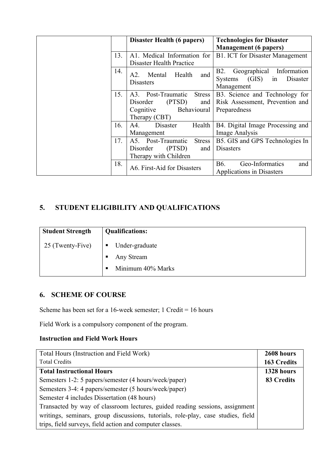|     | <b>Disaster Health (6 papers)</b>   | <b>Technologies for Disaster</b>          |  |  |  |
|-----|-------------------------------------|-------------------------------------------|--|--|--|
|     |                                     | <b>Management</b> (6 papers)              |  |  |  |
| 13. | A1. Medical Information for         | <b>B1. ICT</b> for Disaster Management    |  |  |  |
|     | Disaster Health Practice            |                                           |  |  |  |
| 14. | and<br>Mental<br>Health<br>A2.      | <b>B2.</b><br>Geographical Information    |  |  |  |
|     | <b>Disasters</b>                    | (GIS)<br><b>Systems</b><br>Disaster<br>1n |  |  |  |
|     |                                     | Management                                |  |  |  |
| 15. | A3. Post-Traumatic<br><b>Stress</b> | B3. Science and Technology for            |  |  |  |
|     | (PTSD)<br>Disorder<br>and           | Risk Assessment, Prevention and           |  |  |  |
|     | Behavioural<br>Cognitive            | Preparedness                              |  |  |  |
|     | Therapy (CBT)                       |                                           |  |  |  |
| 16. | Health<br>A4.<br>Disaster           | B4. Digital Image Processing and          |  |  |  |
|     | Management                          | Image Analysis                            |  |  |  |
| 17. | A5. Post-Traumatic<br><b>Stress</b> | B5. GIS and GPS Technologies In           |  |  |  |
|     | (PTSD)<br>Disorder<br>and           | <b>Disasters</b>                          |  |  |  |
|     | Therapy with Children               |                                           |  |  |  |
| 18. | A6. First-Aid for Disasters         | Geo-Informatics<br><b>B6.</b><br>and      |  |  |  |
|     |                                     | Applications in Disasters                 |  |  |  |

#### **5. STUDENT ELIGIBILITY AND QUALIFICATIONS**

| <b>Student Strength</b> | <b>Qualifications:</b> |
|-------------------------|------------------------|
| 25 (Twenty-Five)        | Under-graduate<br>п    |
|                         | Any Stream             |
|                         | Minimum 40% Marks      |

#### **6. SCHEME OF COURSE**

Scheme has been set for a 16-week semester; 1 Credit = 16 hours

Field Work is a compulsory component of the program.

#### **Instruction and Field Work Hours**

| Total Hours (Instruction and Field Work)                                         | 2608 hours         |
|----------------------------------------------------------------------------------|--------------------|
| <b>Total Credits</b>                                                             | <b>163 Credits</b> |
| <b>Total Instructional Hours</b>                                                 | 1328 hours         |
| Semesters 1-2: 5 papers/semester (4 hours/week/paper)                            | 83 Credits         |
| Semesters 3-4: 4 papers/semester (5 hours/week/paper)                            |                    |
| Semester 4 includes Dissertation (48 hours)                                      |                    |
| Transacted by way of classroom lectures, guided reading sessions, assignment     |                    |
| writings, seminars, group discussions, tutorials, role-play, case studies, field |                    |
| trips, field surveys, field action and computer classes.                         |                    |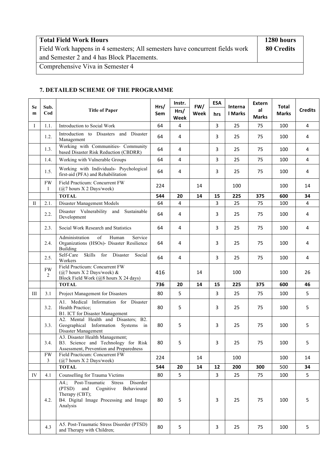| <b>Total Field Work Hours</b>                                                | 1280 hours |
|------------------------------------------------------------------------------|------------|
| Field Work happens in 4 semesters; All semesters have concurrent fields work | 80 Credits |
| and Semester 2 and 4 has Block Placements.                                   |            |
| Comprehensive Viva in Semester 4                                             |            |

#### **7. DETAILED SCHEME OF THE PROGRAMME**

| <b>Se</b> | Sub.                 |                                                                                                                                                                       | Hrs/ | Instr.       | FW/  | <b>ESA</b> | <b>Interna</b> | Extern             | Total        |                |
|-----------|----------------------|-----------------------------------------------------------------------------------------------------------------------------------------------------------------------|------|--------------|------|------------|----------------|--------------------|--------------|----------------|
| m         | Cod                  | <b>Title of Paper</b>                                                                                                                                                 | Sem  | Hrs/<br>Week | Week | hrs        | <b>I</b> Marks | al<br><b>Marks</b> | <b>Marks</b> | <b>Credits</b> |
| $\bf{I}$  | 1.1.                 | Introduction to Social Work                                                                                                                                           | 64   | 4            |      | 3          | 25             | 75                 | 100          | 4              |
|           | 1.2.                 | Introduction to Disasters and Disaster<br>Management                                                                                                                  | 64   | 4            |      | 3          | 25             | 75                 | 100          | 4              |
|           | 1.3.                 | Working with Communities- Community<br>based Disaster Risk Reduction (CBDRR)                                                                                          | 64   | 4            |      | 3          | 25             | 75                 | 100          | 4              |
|           | 1.4.                 | Working with Vulnerable Groups                                                                                                                                        | 64   | 4            |      | 3          | 25             | 75                 | 100          | 4              |
|           | 1.5.                 | Working with Individuals- Psychological<br>first-aid (PFA) and Rehabilitation                                                                                         | 64   | 4            |      | 3          | 25             | 75                 | 100          | 4              |
|           | <b>FW</b><br>1       | Field Practicum: Concurrent FW<br>$(Q7$ hours X 2 Days/week)                                                                                                          | 224  |              | 14   |            | 100            |                    | 100          | 14             |
|           |                      | <b>TOTAL</b>                                                                                                                                                          | 544  | 20           | 14   | 15         | 225            | 375                | 600          | 34             |
| П         | 2.1.                 | Disaster Management Models                                                                                                                                            | 64   | 4            |      | 3          | 25             | 75                 | 100          | 4              |
|           | 2.2.                 | Disaster Vulnerability and<br>Sustainable<br>Development                                                                                                              | 64   | 4            |      | 3          | 25             | 75                 | 100          | 4              |
|           | 2.3.                 | Social Work Research and Statistics                                                                                                                                   | 64   | 4            |      | 3          | 25             | 75                 | 100          | 4              |
|           | 2.4.                 | Administration<br>of<br>Human<br>Service<br>Organizations (HSOs)- Disaster Resilience<br><b>Building</b>                                                              | 64   | 4            |      | 3          | 25             | 75                 | 100          | 4              |
|           | 2.5.                 | Self-Care<br>Skills<br>for<br>Disaster<br>Social<br>Workers                                                                                                           | 64   | 4            |      | 3          | 25             | 75                 | 100          | 4              |
|           | <b>FW</b><br>2       | Field Practicum: Concurrent FW<br>$(Q7$ hours X 2 Days/week) &<br>Block Field Work (@8 hours X 24 days)                                                               | 416  |              | 14   |            | 100            |                    | 100          | 26             |
|           |                      | <b>TOTAL</b>                                                                                                                                                          | 736  | 20           | 14   | 15         | 225            | 375                | 600          | 46             |
| Ш         | 3.1                  | Project Management for Disasters                                                                                                                                      | 80   | 5            |      | 3          | 25             | 75                 | 100          | 5              |
|           | 3.2.                 | A1. Medical Information for Disaster<br>Health Practice;<br>B1. ICT for Disaster Management                                                                           | 80   | 5            |      | 3          | 25             | 75                 | 100          | 5              |
|           | 3.3.                 | A2. Mental Health and Disasters; B2.<br>Geographical Information Systems<br>in<br>Disaster Management                                                                 | 80   | 5            |      | 3          | 25             | 75                 | 100          | 5              |
|           | 3.4.                 | A3. Disaster Health Management;<br>B3. Science and Technology for Risk<br>Assessment, Prevention and Preparedness                                                     | 80   | 5            |      | 3          | 25             | 75                 | 100          | 5              |
|           | FW<br>$\mathfrak{Z}$ | Field Practicum: Concurrent FW<br>$(Q/7)$ hours X 2 Days/week)                                                                                                        | 224  |              | 14   |            | 100            |                    | 100          | 14             |
|           |                      | <b>TOTAL</b>                                                                                                                                                          | 544  | 20           | 14   | 12         | 200            | 300                | 500          | 34             |
| IV        | 4.1                  | Counselling for Trauma Victims                                                                                                                                        | 80   | 5            |      | 3          | 25             | 75                 | 100          | 5              |
|           | 4.2.                 | A4.; Post-Traumatic<br><b>Stress</b><br>Disorder<br>and<br>Cognitive<br>Behavioural<br>(PTSD)<br>Therapy (CBT);<br>B4. Digital Image Processing and Image<br>Analysis | 80   | 5            |      | 3          | 25             | 75                 | 100          | 5              |
|           | 4.3                  | A5. Post-Traumatic Stress Disorder (PTSD)<br>and Therapy with Children;                                                                                               | 80   | 5            |      | 3          | 25             | 75                 | 100          | 5              |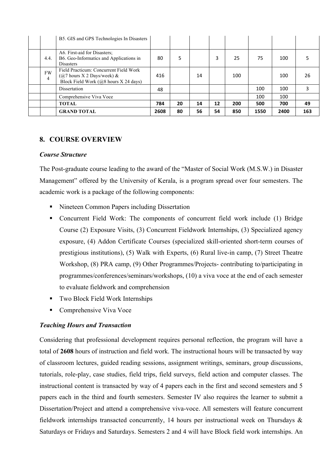|                             | B5. GIS and GPS Technologies In Disasters                                                                       |      |    |    |    |     |      |      |     |
|-----------------------------|-----------------------------------------------------------------------------------------------------------------|------|----|----|----|-----|------|------|-----|
| 4.4.                        | A6. First-aid for Disasters;<br>B6. Geo-Informatics and Applications in<br><b>Disasters</b>                     | 80   | 5  |    | 3  | 25  | 75   | 100  |     |
| <b>FW</b><br>$\overline{4}$ | Field Practicum: Concurrent Field Work<br>$(Q7$ hours X 2 Days/week) &<br>Block Field Work (@8 hours X 24 days) | 416  |    | 14 |    | 100 |      | 100  | 26  |
|                             | Dissertation                                                                                                    | 48   |    |    |    |     | 100  | 100  |     |
|                             | Comprehensive Viva Voce                                                                                         |      |    |    |    |     | 100  | 100  |     |
|                             | TOTAL                                                                                                           | 784  | 20 | 14 | 12 | 200 | 500  | 700  | 49  |
|                             | <b>GRAND TOTAL</b>                                                                                              | 2608 | 80 | 56 | 54 | 850 | 1550 | 2400 | 163 |

#### **8. COURSE OVERVIEW**

#### *Course Structure*

The Post-graduate course leading to the award of the "Master of Social Work (M.S.W.) in Disaster Management" offered by the University of Kerala, is a program spread over four semesters. The academic work is a package of the following components:

- Nineteen Common Papers including Dissertation
- § Concurrent Field Work: The components of concurrent field work include (1) Bridge Course (2) Exposure Visits, (3) Concurrent Fieldwork Internships, (3) Specialized agency exposure, (4) Addon Certificate Courses (specialized skill-oriented short-term courses of prestigious institutions), (5) Walk with Experts, (6) Rural live-in camp, (7) Street Theatre Workshop, (8) PRA camp, (9) Other Programmes/Projects- contributing to/participating in programmes/conferences/seminars/workshops, (10) a viva voce at the end of each semester to evaluate fieldwork and comprehension
- Two Block Field Work Internships
- Comprehensive Viva Voce

#### *Teaching Hours and Transaction*

Considering that professional development requires personal reflection, the program will have a total of **2608** hours of instruction and field work. The instructional hours will be transacted by way of classroom lectures, guided reading sessions, assignment writings, seminars, group discussions, tutorials, role-play, case studies, field trips, field surveys, field action and computer classes. The instructional content is transacted by way of 4 papers each in the first and second semesters and 5 papers each in the third and fourth semesters. Semester IV also requires the learner to submit a Dissertation/Project and attend a comprehensive viva-voce. All semesters will feature concurrent fieldwork internships transacted concurrently, 14 hours per instructional week on Thursdays & Saturdays or Fridays and Saturdays. Semesters 2 and 4 will have Block field work internships. An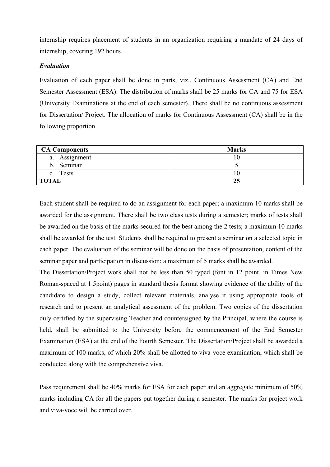internship requires placement of students in an organization requiring a mandate of 24 days of internship, covering 192 hours.

#### *Evaluation*

Evaluation of each paper shall be done in parts, viz., Continuous Assessment (CA) and End Semester Assessment (ESA). The distribution of marks shall be 25 marks for CA and 75 for ESA (University Examinations at the end of each semester). There shall be no continuous assessment for Dissertation/ Project. The allocation of marks for Continuous Assessment (CA) shall be in the following proportion.

| <b>CA Components</b>           | <b>Marks</b> |
|--------------------------------|--------------|
| a. Assignment                  |              |
| Seminar<br>b.                  |              |
| <b>Tests</b><br>$\mathbf{c}$ . |              |
| <b>TOTAL</b>                   | 25           |

Each student shall be required to do an assignment for each paper; a maximum 10 marks shall be awarded for the assignment. There shall be two class tests during a semester; marks of tests shall be awarded on the basis of the marks secured for the best among the 2 tests; a maximum 10 marks shall be awarded for the test. Students shall be required to present a seminar on a selected topic in each paper. The evaluation of the seminar will be done on the basis of presentation, content of the seminar paper and participation in discussion; a maximum of 5 marks shall be awarded.

The Dissertation/Project work shall not be less than 50 typed (font in 12 point, in Times New Roman-spaced at 1.5point) pages in standard thesis format showing evidence of the ability of the candidate to design a study, collect relevant materials, analyse it using appropriate tools of research and to present an analytical assessment of the problem. Two copies of the dissertation duly certified by the supervising Teacher and countersigned by the Principal, where the course is held, shall be submitted to the University before the commencement of the End Semester Examination (ESA) at the end of the Fourth Semester. The Dissertation/Project shall be awarded a maximum of 100 marks, of which 20% shall be allotted to viva-voce examination, which shall be conducted along with the comprehensive viva.

Pass requirement shall be 40% marks for ESA for each paper and an aggregate minimum of 50% marks including CA for all the papers put together during a semester. The marks for project work and viva-voce will be carried over.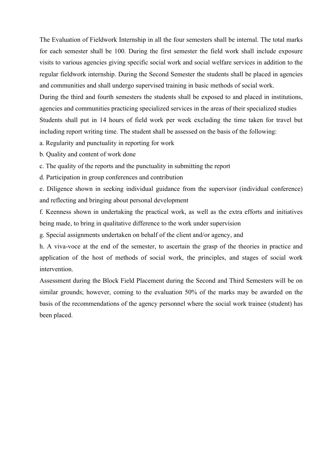The Evaluation of Fieldwork Internship in all the four semesters shall be internal. The total marks for each semester shall be 100. During the first semester the field work shall include exposure visits to various agencies giving specific social work and social welfare services in addition to the regular fieldwork internship. During the Second Semester the students shall be placed in agencies and communities and shall undergo supervised training in basic methods of social work.

During the third and fourth semesters the students shall be exposed to and placed in institutions, agencies and communities practicing specialized services in the areas of their specialized studies Students shall put in 14 hours of field work per week excluding the time taken for travel but including report writing time. The student shall be assessed on the basis of the following:

a. Regularity and punctuality in reporting for work

b. Quality and content of work done

c. The quality of the reports and the punctuality in submitting the report

d. Participation in group conferences and contribution

e. Diligence shown in seeking individual guidance from the supervisor (individual conference) and reflecting and bringing about personal development

f. Keenness shown in undertaking the practical work, as well as the extra efforts and initiatives being made, to bring in qualitative difference to the work under supervision

g. Special assignments undertaken on behalf of the client and/or agency, and

h. A viva-voce at the end of the semester, to ascertain the grasp of the theories in practice and application of the host of methods of social work, the principles, and stages of social work intervention.

Assessment during the Block Field Placement during the Second and Third Semesters will be on similar grounds; however, coming to the evaluation 50% of the marks may be awarded on the basis of the recommendations of the agency personnel where the social work trainee (student) has been placed.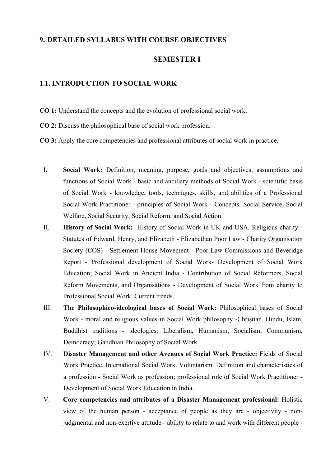#### **9. DETAILED SYLLABUS WITH COURSE OBJECTIVES**

#### **SEMESTER I**

#### **1.1. INTRODUCTION TO SOCIAL WORK**

- **CO 1:** Understand the concepts and the evolution of professional social work.
- **CO 2:** Discuss the philosophical base of social work profession.
- **CO 3:** Apply the core competencies and professional attributes of social work in practice.
	- I. **Social Work:** Definition, meaning, purpose, goals and objectives; assumptions and functions of Social Work - basic and ancillary methods of Social Work - scientific basis of Social Work - knowledge, tools, techniques, skills, and abilities of a Professional Social Work Practitioner - principles of Social Work - Concepts: Social Service, Social Welfare, Social Security, Social Reform, and Social Action.
	- II. **History of Social Work:** History of Social Work in UK and USA. Religious charity Statutes of Edward, Henry, and Elizabeth - Elizabethan Poor Law - Charity Organisation Society (COS) - Settlement House Movement - Poor Law Commissions and Beveridge Report - Professional development of Social Work- Development of Social Work Education; Social Work in Ancient India - Contribution of Social Reformers, Social Reform Movements, and Organisations - Development of Social Work from charity to Professional Social Work. Current trends.
	- III. **The Philosophico-ideological bases of Social Work:** Philosophical bases of Social Work - moral and religious values in Social Work philosophy -Christian, Hindu, Islam, Buddhist traditions - ideologies: Liberalism, Humanism, Socialism, Communism, Democracy; Gandhian Philosophy of Social Work
	- IV. **Disaster Management and other Avenues of Social Work Practice:** Fields of Social Work Practice. International Social Work. Voluntarism. Definition and characteristics of a profession - Social Work as profession; professional role of Social Work Practitioner - Development of Social Work Education in India.
	- V. **Core competencies and attributes of a Disaster Management professional:** Holistic view of the human person - acceptance of people as they are - objectivity - nonjudgmental and non-exertive attitude - ability to relate to and work with different people -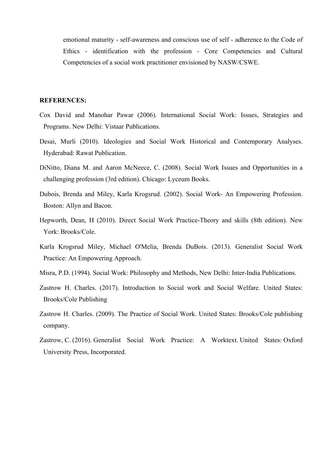emotional maturity - self-awareness and conscious use of self - adherence to the Code of Ethics - identification with the profession - Core Competencies and Cultural Competencies of a social work practitioner envisioned by NASW/CSWE.

- Cox David and Manohar Pawar (2006). International Social Work: Issues, Strategies and Programs. New Delhi: Vistaar Publications.
- Desai, Murli (2010). Ideologies and Social Work Historical and Contemporary Analyses. Hyderabad: Rawat Publication.
- DiNitto, Diana M. and Aaron McNeece, C. (2008). Social Work Issues and Opportunities in a challenging profession (3rd edition). Chicago: Lyceum Books.
- Dubois, Brenda and Miley, Karla Krogsrud. (2002). Social Work- An Empowering Profession. Boston: Allyn and Bacon.
- Hepworth, Dean, H (2010). Direct Social Work Practice-Theory and skills (8th edition). New York: Brooks/Cole.
- Karla Krogsrud Miley, Michael O'Melia, Brenda DuBois. (2013). Generalist Social Work Practice: An Empowering Approach.
- Misra, P.D. (1994). Social Work: Philosophy and Methods, New Delhi: Inter-India Publications.
- Zastrow H. Charles. (2017). Introduction to Social work and Social Welfare. United States: Brooks/Cole Publishing
- Zastrow H. Charles. (2009). The Practice of Social Work. United States: Brooks/Cole publishing company.
- Zastrow, C. (2016). Generalist Social Work Practice: A Worktext. United States: Oxford University Press, Incorporated.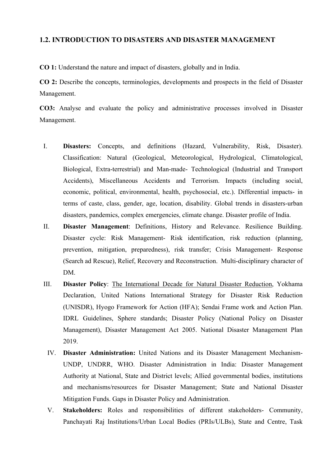#### **1.2. INTRODUCTION TO DISASTERS AND DISASTER MANAGEMENT**

**CO 1:** Understand the nature and impact of disasters, globally and in India.

**CO 2:** Describe the concepts, terminologies, developments and prospects in the field of Disaster Management.

**CO3:** Analyse and evaluate the policy and administrative processes involved in Disaster Management.

- I. **Disasters:** Concepts, and definitions (Hazard, Vulnerability, Risk, Disaster). Classification: Natural (Geological, Meteorological, Hydrological, Climatological, Biological, Extra-terrestrial) and Man-made- Technological (Industrial and Transport Accidents), Miscellaneous Accidents and Terrorism. Impacts (including social, economic, political, environmental, health, psychosocial, etc.). Differential impacts- in terms of caste, class, gender, age, location, disability. Global trends in disasters-urban disasters, pandemics, complex emergencies, climate change. Disaster profile of India.
- II. **Disaster Management**: Definitions, History and Relevance. Resilience Building. Disaster cycle: Risk Management- Risk identification, risk reduction (planning, prevention, mitigation, preparedness), risk transfer; Crisis Management- Response (Search ad Rescue), Relief, Recovery and Reconstruction. Multi-disciplinary character of DM.
- III. **Disaster Policy**: The International Decade for Natural Disaster Reduction, Yokhama Declaration, United Nations International Strategy for Disaster Risk Reduction (UNISDR), Hyogo Framework for Action (HFA); Sendai Frame work and Action Plan. IDRL Guidelines, Sphere standards; Disaster Policy (National Policy on Disaster Management), Disaster Management Act 2005. National Disaster Management Plan 2019.
	- IV. **Disaster Administration:** United Nations and its Disaster Management Mechanism-UNDP, UNDRR, WHO. Disaster Administration in India: Disaster Management Authority at National, State and District levels; Allied governmental bodies, institutions and mechanisms/resources for Disaster Management; State and National Disaster Mitigation Funds. Gaps in Disaster Policy and Administration.
	- V. **Stakeholders:** Roles and responsibilities of different stakeholders- Community, Panchayati Raj Institutions/Urban Local Bodies (PRIs/ULBs), State and Centre, Task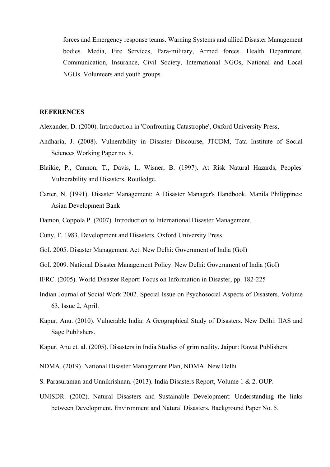forces and Emergency response teams. Warning Systems and allied Disaster Management bodies. Media, Fire Services, Para-military, Armed forces. Health Department, Communication, Insurance, Civil Society, International NGOs, National and Local NGOs. Volunteers and youth groups.

- Alexander, D. (2000). Introduction in 'Confronting Catastrophe', Oxford University Press,
- Andharia, J. (2008). Vulnerability in Disaster Discourse, JTCDM, Tata Institute of Social Sciences Working Paper no. 8.
- Blaikie, P., Cannon, T., Davis, I., Wisner, B. (1997). At Risk Natural Hazards, Peoples' Vulnerability and Disasters. Routledge.
- Carter, N. (1991). Disaster Management: A Disaster Manager's Handbook. Manila Philippines: Asian Development Bank
- Damon, Coppola P. (2007). Introduction to International Disaster Management.
- Cuny, F. 1983. Development and Disasters. Oxford University Press.
- GoI. 2005. Disaster Management Act. New Delhi: Government of India (GoI)
- GoI. 2009. National Disaster Management Policy. New Delhi: Government of India (GoI)
- IFRC. (2005). World Disaster Report: Focus on Information in Disaster, pp. 182-225
- Indian Journal of Social Work 2002. Special Issue on Psychosocial Aspects of Disasters, Volume 63, Issue 2, April.
- Kapur, Anu. (2010). Vulnerable India: A Geographical Study of Disasters. New Delhi: IIAS and Sage Publishers.
- Kapur, Anu et. al. (2005). Disasters in India Studies of grim reality. Jaipur: Rawat Publishers.
- NDMA. (2019). National Disaster Management Plan, NDMA: New Delhi
- S. Parasuraman and Unnikrishnan. (2013). India Disasters Report, Volume 1 & 2. OUP.
- UNISDR. (2002). Natural Disasters and Sustainable Development: Understanding the links between Development, Environment and Natural Disasters, Background Paper No. 5.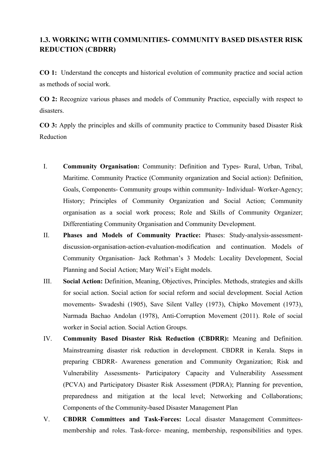#### **1.3. WORKING WITH COMMUNITIES- COMMUNITY BASED DISASTER RISK REDUCTION (CBDRR)**

**CO 1:** Understand the concepts and historical evolution of community practice and social action as methods of social work.

**CO 2:** Recognize various phases and models of Community Practice, especially with respect to disasters.

**CO 3:** Apply the principles and skills of community practice to Community based Disaster Risk Reduction

- I. **Community Organisation:** Community: Definition and Types- Rural, Urban, Tribal, Maritime. Community Practice (Community organization and Social action): Definition, Goals, Components- Community groups within community- Individual- Worker-Agency; History; Principles of Community Organization and Social Action; Community organisation as a social work process; Role and Skills of Community Organizer; Differentiating Community Organisation and Community Development.
- II. **Phases and Models of Community Practice:** Phases: Study-analysis-assessmentdiscussion-organisation-action-evaluation-modification and continuation. Models of Community Organisation- Jack Rothman's 3 Models: Locality Development, Social Planning and Social Action; Mary Weil's Eight models.
- III. **Social Action:** Definition, Meaning, Objectives, Principles. Methods, strategies and skills for social action. Social action for social reform and social development. Social Action movements- Swadeshi (1905), Save Silent Valley (1973), Chipko Movement (1973), Narmada Bachao Andolan (1978), Anti-Corruption Movement (2011). Role of social worker in Social action. Social Action Groups.
- IV. **Community Based Disaster Risk Reduction (CBDRR):** Meaning and Definition. Mainstreaming disaster risk reduction in development. CBDRR in Kerala. Steps in preparing CBDRR- Awareness generation and Community Organization; Risk and Vulnerability Assessments- Participatory Capacity and Vulnerability Assessment (PCVA) and Participatory Disaster Risk Assessment (PDRA); Planning for prevention, preparedness and mitigation at the local level; Networking and Collaborations; Components of the Community-based Disaster Management Plan
- V. **CBDRR Committees and Task-Forces:** Local disaster Management Committeesmembership and roles. Task-force- meaning, membership, responsibilities and types.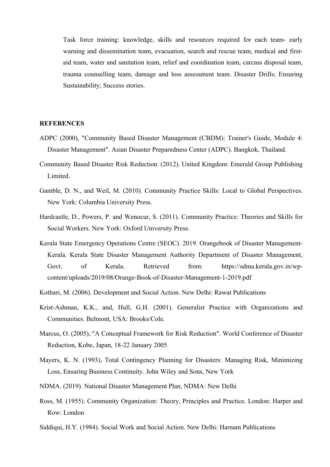Task force training: knowledge, skills and resources required for each team- early warning and dissemination team, evacuation, search and rescue team, medical and firstaid team, water and sanitation team, relief and coordination team, carcass disposal team, trauma counselling team, damage and loss assessment team. Disaster Drills; Ensuring Sustainability; Success stories.

- ADPC (2000), "Community Based Disaster Management (CBDM): Trainer's Guide, Module 4: Disaster Management". Asian Disaster Preparedness Center (ADPC). Bangkok, Thailand.
- Community Based Disaster Risk Reduction. (2012). United Kingdom: Emerald Group Publishing Limited.
- Gamble, D. N., and Weil, M. (2010). Community Practice Skills: Local to Global Perspectives. New York: Columbia University Press.
- Hardcastle, D., Powers, P. and Wenocur, S. (2011). Community Practice: Theories and Skills for Social Workers. New York: Oxford University Press.
- Kerala State Emergency Operations Centre (SEOC). 2019. Orangebook of Disaster Management-Kerala. Kerala State Disaster Management Authority Department of Disaster Management, Govt. of Kerala. Retrieved from: https://sdma.kerala.gov.in/wpcontent/uploads/2019/08/Orange-Book-of-Disaster-Management-1-2019.pdf
- Kothari, M. (2006). Development and Social Action. New Delhi: Rawat Publications
- Krist-Ashman, K.K., and, Hull, G.H. (2001). Generalist Practice with Organizations and Communities. Belmont, USA: Brooks/Cole.
- Marcus, O. (2005), "A Conceptual Framework for Risk Reduction". World Conference of Disaster Reduction, Kobe, Japan, 18-22 January 2005.
- Mayers, K. N. (1993), Total Contingency Planning for Disasters: Managing Risk, Minimizing Loss, Ensuring Business Continuity. John Wiley and Sons, New York
- NDMA. (2019). National Disaster Management Plan, NDMA: New Delhi
- Ross, M. (1955). Community Organization: Theory, Principles and Practice. London: Harper and Row: London
- Siddiqui, H.Y. (1984). Social Work and Social Action. New Delhi: Harnam Publications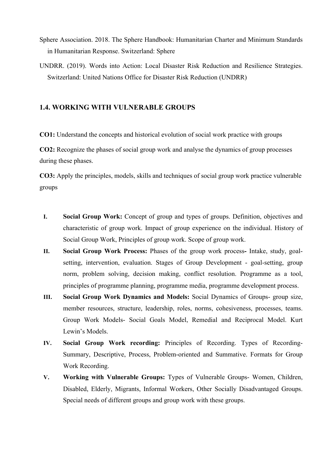- Sphere Association. 2018. The Sphere Handbook: Humanitarian Charter and Minimum Standards in Humanitarian Response. Switzerland: Sphere
- UNDRR. (2019). Words into Action: Local Disaster Risk Reduction and Resilience Strategies. Switzerland: United Nations Office for Disaster Risk Reduction (UNDRR)

#### **1.4. WORKING WITH VULNERABLE GROUPS**

**CO1:** Understand the concepts and historical evolution of social work practice with groups

**CO2:** Recognize the phases of social group work and analyse the dynamics of group processes during these phases.

**CO3:** Apply the principles, models, skills and techniques of social group work practice vulnerable groups

- **I. Social Group Work:** Concept of group and types of groups. Definition, objectives and characteristic of group work. Impact of group experience on the individual. History of Social Group Work, Principles of group work. Scope of group work.
- **II. Social Group Work Process:** Phases of the group work process**-** Intake, study, goalsetting, intervention, evaluation. Stages of Group Development - goal-setting, group norm, problem solving, decision making, conflict resolution. Programme as a tool, principles of programme planning, programme media, programme development process.
- **III. Social Group Work Dynamics and Models:** Social Dynamics of Groups- group size, member resources, structure, leadership, roles, norms, cohesiveness, processes, teams. Group Work Models- Social Goals Model, Remedial and Reciprocal Model. Kurt Lewin's Models.
- **IV. Social Group Work recording:** Principles of Recording. Types of Recording-Summary, Descriptive, Process, Problem-oriented and Summative. Formats for Group Work Recording.
- **V. Working with Vulnerable Groups:** Types of Vulnerable Groups- Women, Children, Disabled, Elderly, Migrants, Informal Workers, Other Socially Disadvantaged Groups. Special needs of different groups and group work with these groups.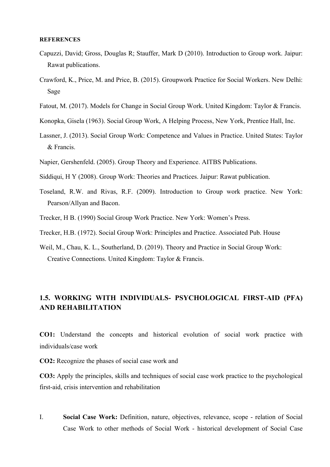#### **REFERENCES**

- Capuzzi, David; Gross, Douglas R; Stauffer, Mark D (2010). Introduction to Group work. Jaipur: Rawat publications.
- Crawford, K., Price, M. and Price, B. (2015). Groupwork Practice for Social Workers. New Delhi: Sage
- Fatout, M. (2017). Models for Change in Social Group Work. United Kingdom: Taylor & Francis.
- Konopka, Gisela (1963). Social Group Work, A Helping Process, New York, Prentice Hall, Inc.
- Lassner, J. (2013). Social Group Work: Competence and Values in Practice. United States: Taylor & Francis.
- Napier, Gershenfeld. (2005). Group Theory and Experience. AITBS Publications.
- Siddiqui, H Y (2008). Group Work: Theories and Practices. Jaipur: Rawat publication.
- Toseland, R.W. and Rivas, R.F. (2009). Introduction to Group work practice. New York: Pearson/Allyan and Bacon.
- Trecker, H B. (1990) Social Group Work Practice. New York: Women's Press.
- Trecker, H.B. (1972). Social Group Work: Principles and Practice. Associated Pub. House
- Weil, M., Chau, K. L., Southerland, D. (2019). Theory and Practice in Social Group Work: Creative Connections. United Kingdom: Taylor & Francis.

#### **1.5. WORKING WITH INDIVIDUALS- PSYCHOLOGICAL FIRST-AID (PFA) AND REHABILITATION**

**CO1:** Understand the concepts and historical evolution of social work practice with individuals/case work

**CO2:** Recognize the phases of social case work and

**CO3:** Apply the principles, skills and techniques of social case work practice to the psychological first-aid, crisis intervention and rehabilitation

I. **Social Case Work:** Definition, nature, objectives, relevance, scope - relation of Social Case Work to other methods of Social Work - historical development of Social Case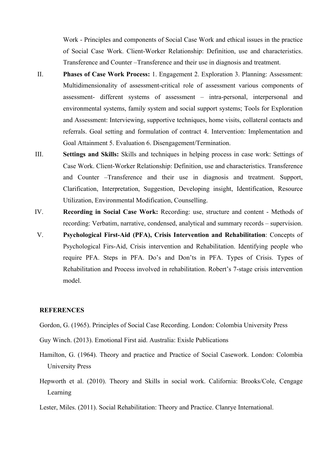Work - Principles and components of Social Case Work and ethical issues in the practice of Social Case Work. Client-Worker Relationship: Definition, use and characteristics. Transference and Counter –Transference and their use in diagnosis and treatment.

- II. **Phases of Case Work Process:** 1. Engagement 2. Exploration 3. Planning: Assessment: Multidimensionality of assessment-critical role of assessment various components of assessment- different systems of assessment – intra-personal, interpersonal and environmental systems, family system and social support systems; Tools for Exploration and Assessment: Interviewing, supportive techniques, home visits, collateral contacts and referrals. Goal setting and formulation of contract 4. Intervention: Implementation and Goal Attainment 5. Evaluation 6. Disengagement/Termination.
- III. **Settings and Skills:** Skills and techniques in helping process in case work: Settings of Case Work. Client-Worker Relationship: Definition, use and characteristics. Transference and Counter –Transference and their use in diagnosis and treatment. Support, Clarification, Interpretation, Suggestion, Developing insight, Identification, Resource Utilization, Environmental Modification, Counselling.
- IV. **Recording in Social Case Work:** Recording: use, structure and content Methods of recording: Verbatim, narrative, condensed, analytical and summary records – supervision.
- V. **Psychological First-Aid (PFA), Crisis Intervention and Rehabilitation**: Concepts of Psychological Firs-Aid, Crisis intervention and Rehabilitation. Identifying people who require PFA. Steps in PFA. Do's and Don'ts in PFA. Types of Crisis. Types of Rehabilitation and Process involved in rehabilitation. Robert's 7-stage crisis intervention model.

#### **REFERENCES**

Gordon, G. (1965). Principles of Social Case Recording. London: Colombia University Press

- Guy Winch. (2013). Emotional First aid. Australia: Exisle Publications
- Hamilton, G. (1964). Theory and practice and Practice of Social Casework. London: Colombia University Press
- Hepworth et al. (2010). Theory and Skills in social work. California: Brooks/Cole, Cengage Learning
- Lester, Miles. (2011). Social Rehabilitation: Theory and Practice. Clanrye International.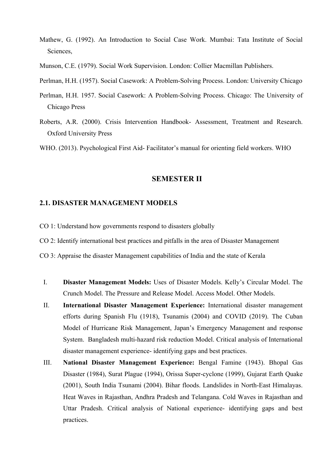- Mathew, G. (1992). An Introduction to Social Case Work. Mumbai: Tata Institute of Social Sciences,
- Munson, C.E. (1979). Social Work Supervision. London: Collier Macmillan Publishers.

Perlman, H.H. (1957). Social Casework: A Problem-Solving Process. London: University Chicago

- Perlman, H.H. 1957. Social Casework: A Problem-Solving Process. Chicago: The University of Chicago Press
- Roberts, A.R. (2000). Crisis Intervention Handbook- Assessment, Treatment and Research. Oxford University Press

WHO. (2013). Psychological First Aid- Facilitator's manual for orienting field workers. WHO

#### **SEMESTER II**

#### **2.1. DISASTER MANAGEMENT MODELS**

- CO 1: Understand how governments respond to disasters globally
- CO 2: Identify international best practices and pitfalls in the area of Disaster Management
- CO 3: Appraise the disaster Management capabilities of India and the state of Kerala
- I. **Disaster Management Models:** Uses of Disaster Models. Kelly's Circular Model. The Crunch Model. The Pressure and Release Model. Access Model. Other Models.
- II. **International Disaster Management Experience:** International disaster management efforts during Spanish Flu (1918), Tsunamis (2004) and COVID (2019). The Cuban Model of Hurricane Risk Management, Japan's Emergency Management and response System. Bangladesh multi-hazard risk reduction Model. Critical analysis of International disaster management experience- identifying gaps and best practices.
- III. **National Disaster Management Experience:** Bengal Famine (1943). Bhopal Gas Disaster (1984), Surat Plague (1994), Orissa Super-cyclone (1999), Gujarat Earth Quake (2001), South India Tsunami (2004). Bihar floods. Landslides in North-East Himalayas. Heat Waves in Rajasthan, Andhra Pradesh and Telangana. Cold Waves in Rajasthan and Uttar Pradesh. Critical analysis of National experience- identifying gaps and best practices.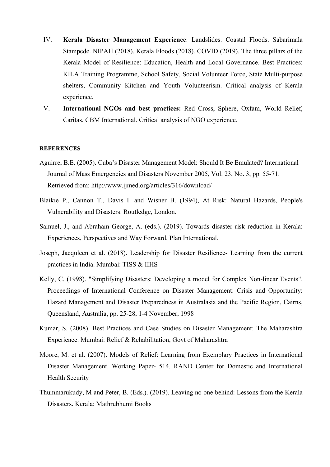- IV. **Kerala Disaster Management Experience**: Landslides. Coastal Floods. Sabarimala Stampede. NIPAH (2018). Kerala Floods (2018). COVID (2019). The three pillars of the Kerala Model of Resilience: Education, Health and Local Governance. Best Practices: KILA Training Programme, School Safety, Social Volunteer Force, State Multi-purpose shelters, Community Kitchen and Youth Volunteerism. Critical analysis of Kerala experience.
- V. **International NGOs and best practices:** Red Cross, Sphere, Oxfam, World Relief, Caritas, CBM International. Critical analysis of NGO experience.

- Aguirre, B.E. (2005). Cuba's Disaster Management Model: Should It Be Emulated? International Journal of Mass Emergencies and Disasters November 2005, Vol. 23, No. 3, pp. 55-71. Retrieved from: http://www.ijmed.org/articles/316/download/
- Blaikie P., Cannon T., Davis I. and Wisner B. (1994), At Risk: Natural Hazards, People's Vulnerability and Disasters. Routledge, London.
- Samuel, J., and Abraham George, A. (eds.). (2019). Towards disaster risk reduction in Kerala: Experiences, Perspectives and Way Forward, Plan International.
- Joseph, Jacquleen et al. (2018). Leadership for Disaster Resilience- Learning from the current practices in India. Mumbai: TISS & IIHS
- Kelly, C. (1998). "Simplifying Disasters: Developing a model for Complex Non-linear Events". Proceedings of International Conference on Disaster Management: Crisis and Opportunity: Hazard Management and Disaster Preparedness in Australasia and the Pacific Region, Cairns, Queensland, Australia, pp. 25-28, 1-4 November, 1998
- Kumar, S. (2008). Best Practices and Case Studies on Disaster Management: The Maharashtra Experience. Mumbai: Relief & Rehabilitation, Govt of Maharashtra
- Moore, M. et al. (2007). Models of Relief: Learning from Exemplary Practices in International Disaster Management. Working Paper- 514. RAND Center for Domestic and International Health Security
- Thummarukudy, M and Peter, B. (Eds.). (2019). Leaving no one behind: Lessons from the Kerala Disasters. Kerala: Mathrubhumi Books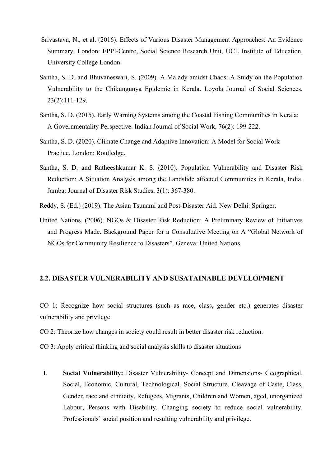- Srivastava, N., et al. (2016). Effects of Various Disaster Management Approaches: An Evidence Summary. London: EPPI-Centre, Social Science Research Unit, UCL Institute of Education, University College London.
- Santha, S. D. and Bhuvaneswari, S. (2009). A Malady amidst Chaos: A Study on the Population Vulnerability to the Chikungunya Epidemic in Kerala. Loyola Journal of Social Sciences, 23(2):111-129.
- Santha, S. D. (2015). Early Warning Systems among the Coastal Fishing Communities in Kerala: A Governmentality Perspective. Indian Journal of Social Work, 76(2): 199-222.
- Santha, S. D. (2020). Climate Change and Adaptive Innovation: A Model for Social Work Practice. London: Routledge.
- Santha, S. D. and Ratheeshkumar K. S. (2010). Population Vulnerability and Disaster Risk Reduction: A Situation Analysis among the Landslide affected Communities in Kerala, India. Jamba: Journal of Disaster Risk Studies, 3(1): 367-380.
- Reddy, S. (Ed.) (2019). The Asian Tsunami and Post-Disaster Aid. New Delhi: Springer.
- United Nations. (2006). NGOs & Disaster Risk Reduction: A Preliminary Review of Initiatives and Progress Made. Background Paper for a Consultative Meeting on A "Global Network of NGOs for Community Resilience to Disasters". Geneva: United Nations.

#### **2.2. DISASTER VULNERABILITY AND SUSATAINABLE DEVELOPMENT**

CO 1: Recognize how social structures (such as race, class, gender etc.) generates disaster vulnerability and privilege

- CO 2: Theorize how changes in society could result in better disaster risk reduction.
- CO 3: Apply critical thinking and social analysis skills to disaster situations
	- I. **Social Vulnerability:** Disaster Vulnerability- Concept and Dimensions- Geographical, Social, Economic, Cultural, Technological. Social Structure. Cleavage of Caste, Class, Gender, race and ethnicity, Refugees, Migrants, Children and Women, aged, unorganized Labour, Persons with Disability. Changing society to reduce social vulnerability. Professionals' social position and resulting vulnerability and privilege.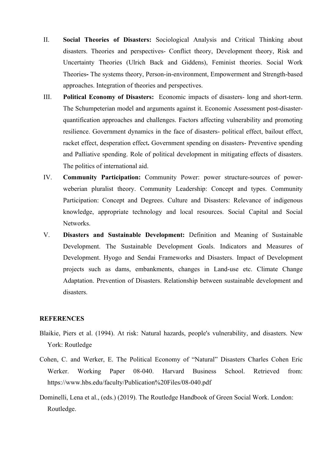- II. **Social Theories of Disasters:** Sociological Analysis and Critical Thinking about disasters. Theories and perspectives- Conflict theory, Development theory, Risk and Uncertainty Theories (Ulrich Back and Giddens), Feminist theories. Social Work Theories**-** The systems theory, Person-in-environment, Empowerment and Strength-based approaches. Integration of theories and perspectives.
- III. **Political Economy of Disasters:** Economic impacts of disasters- long and short-term. The Schumpeterian model and arguments against it. Economic Assessment post-disasterquantification approaches and challenges. Factors affecting vulnerability and promoting resilience. Government dynamics in the face of disasters- political effect, bailout effect, racket effect, desperation effect**.** Government spending on disasters- Preventive spending and Palliative spending. Role of political development in mitigating effects of disasters. The politics of international aid.
- IV. **Community Participation:** Community Power: power structure-sources of powerweberian pluralist theory. Community Leadership: Concept and types. Community Participation: Concept and Degrees. Culture and Disasters: Relevance of indigenous knowledge, appropriate technology and local resources. Social Capital and Social Networks.
- V. **Disasters and Sustainable Development:** Definition and Meaning of Sustainable Development. The Sustainable Development Goals. Indicators and Measures of Development. Hyogo and Sendai Frameworks and Disasters. Impact of Development projects such as dams, embankments, changes in Land-use etc. Climate Change Adaptation. Prevention of Disasters. Relationship between sustainable development and disasters.

- Blaikie, Piers et al. (1994). At risk: Natural hazards, people's vulnerability, and disasters. New York: Routledge
- Cohen, C. and Werker, E. The Political Economy of "Natural" Disasters Charles Cohen Eric Werker. Working Paper 08-040. Harvard Business School. Retrieved from: https://www.hbs.edu/faculty/Publication%20Files/08-040.pdf
- Dominelli, Lena et al., (eds.) (2019). The Routledge Handbook of Green Social Work. London: Routledge.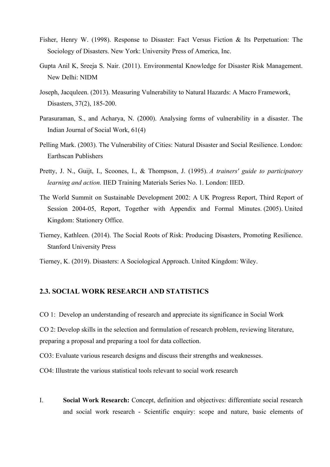- Fisher, Henry W. (1998). Response to Disaster: Fact Versus Fiction & Its Perpetuation: The Sociology of Disasters. New York: University Press of America, Inc.
- Gupta Anil K, Sreeja S. Nair. (2011). Environmental Knowledge for Disaster Risk Management. New Delhi: NIDM
- Joseph, Jacquleen. (2013). Measuring Vulnerability to Natural Hazards: A Macro Framework, Disasters, 37(2), 185-200.
- Parasuraman, S., and Acharya, N. (2000). Analysing forms of vulnerability in a disaster. The Indian Journal of Social Work, 61(4)
- Pelling Mark. (2003). The Vulnerability of Cities: Natural Disaster and Social Resilience. London: Earthscan Publishers
- Pretty, J. N., Guijt, I., Scoones, I., & Thompson, J. (1995). *A trainers' guide to participatory learning and action.* IIED Training Materials Series No. 1. London: IIED.
- The World Summit on Sustainable Development 2002: A UK Progress Report, Third Report of Session 2004-05, Report, Together with Appendix and Formal Minutes. (2005). United Kingdom: Stationery Office.
- Tierney, Kathleen. (2014). The Social Roots of Risk: Producing Disasters, Promoting Resilience. Stanford University Press
- Tierney, K. (2019). Disasters: A Sociological Approach. United Kingdom: Wiley.

#### **2.3. SOCIAL WORK RESEARCH AND STATISTICS**

CO 1: Develop an understanding of research and appreciate its significance in Social Work

CO 2: Develop skills in the selection and formulation of research problem, reviewing literature, preparing a proposal and preparing a tool for data collection.

CO3: Evaluate various research designs and discuss their strengths and weaknesses.

CO4: Illustrate the various statistical tools relevant to social work research

I. **Social Work Research:** Concept, definition and objectives: differentiate social research and social work research - Scientific enquiry: scope and nature, basic elements of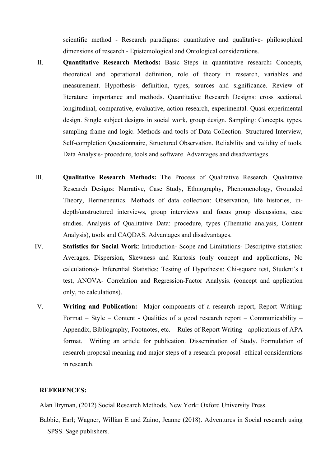scientific method - Research paradigms: quantitative and qualitative- philosophical dimensions of research - Epistemological and Ontological considerations.

- II. **Quantitative Research Methods:** Basic Steps in quantitative research**:** Concepts, theoretical and operational definition, role of theory in research, variables and measurement. Hypothesis- definition, types, sources and significance. Review of literature: importance and methods. Quantitative Research Designs: cross sectional, longitudinal, comparative, evaluative, action research, experimental. Quasi-experimental design. Single subject designs in social work, group design. Sampling: Concepts, types, sampling frame and logic. Methods and tools of Data Collection: Structured Interview, Self-completion Questionnaire, Structured Observation. Reliability and validity of tools. Data Analysis- procedure, tools and software. Advantages and disadvantages.
- III. **Qualitative Research Methods:** The Process of Qualitative Research. Qualitative Research Designs: Narrative, Case Study, Ethnography, Phenomenology, Grounded Theory, Hermeneutics. Methods of data collection: Observation, life histories, indepth/unstructured interviews, group interviews and focus group discussions, case studies. Analysis of Qualitative Data: procedure, types (Thematic analysis, Content Analysis), tools and CAQDAS. Advantages and disadvantages.
- IV. **Statistics for Social Work**: Introduction- Scope and Limitations- Descriptive statistics: Averages, Dispersion, Skewness and Kurtosis (only concept and applications, No calculations)- Inferential Statistics: Testing of Hypothesis: Chi-square test, Student's t test, ANOVA- Correlation and Regression-Factor Analysis. (concept and application only, no calculations).
- V. **Writing and Publication:** Major components of a research report, Report Writing: Format – Style – Content - Qualities of a good research report – Communicability – Appendix, Bibliography, Footnotes, etc. – Rules of Report Writing - applications of APA format. Writing an article for publication. Dissemination of Study. Formulation of research proposal meaning and major steps of a research proposal -ethical considerations in research.

#### **REFERENCES:**

Alan Bryman, (2012) Social Research Methods. New York: Oxford University Press.

Babbie, Earl; Wagner, Willian E and Zaino, Jeanne (2018). Adventures in Social research using SPSS. Sage publishers.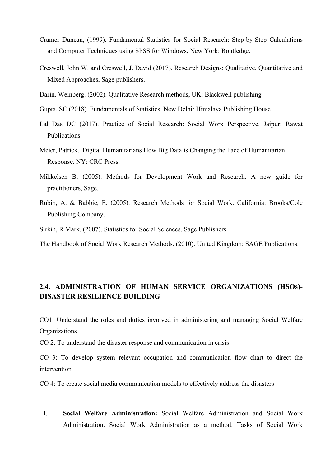- Cramer Duncan, (1999). Fundamental Statistics for Social Research: Step-by-Step Calculations and Computer Techniques using SPSS for Windows, New York: Routledge.
- Creswell, John W. and Creswell, J. David (2017). Research Designs: Qualitative, Quantitative and Mixed Approaches, Sage publishers.
- Darin, Weinberg. (2002). Qualitative Research methods, UK: Blackwell publishing
- Gupta, SC (2018). Fundamentals of Statistics. New Delhi: Himalaya Publishing House.
- Lal Das DC (2017). Practice of Social Research: Social Work Perspective. Jaipur: Rawat Publications
- Meier, Patrick. Digital Humanitarians How Big Data is Changing the Face of Humanitarian Response. NY: CRC Press.
- Mikkelsen B. (2005). Methods for Development Work and Research. A new guide for practitioners, Sage.
- Rubin, A. & Babbie, E. (2005). Research Methods for Social Work. California: Brooks/Cole Publishing Company.
- Sirkin, R Mark. (2007). Statistics for Social Sciences, Sage Publishers

The Handbook of Social Work Research Methods. (2010). United Kingdom: SAGE Publications.

#### **2.4. ADMINISTRATION OF HUMAN SERVICE ORGANIZATIONS (HSOs)- DISASTER RESILIENCE BUILDING**

CO1: Understand the roles and duties involved in administering and managing Social Welfare **Organizations** 

CO 2: To understand the disaster response and communication in crisis

CO 3: To develop system relevant occupation and communication flow chart to direct the intervention

CO 4: To create social media communication models to effectively address the disasters

I. **Social Welfare Administration:** Social Welfare Administration and Social Work Administration. Social Work Administration as a method. Tasks of Social Work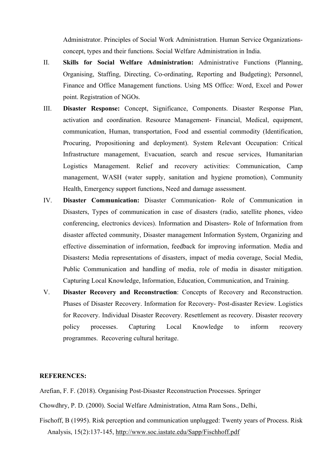Administrator. Principles of Social Work Administration. Human Service Organizationsconcept, types and their functions. Social Welfare Administration in India.

- II. **Skills for Social Welfare Administration:** Administrative Functions (Planning, Organising, Staffing, Directing, Co-ordinating, Reporting and Budgeting); Personnel, Finance and Office Management functions. Using MS Office: Word, Excel and Power point. Registration of NGOs.
- III. **Disaster Response:** Concept, Significance, Components. Disaster Response Plan, activation and coordination. Resource Management- Financial, Medical, equipment, communication, Human, transportation, Food and essential commodity (Identification, Procuring, Propositioning and deployment). System Relevant Occupation: Critical Infrastructure management, Evacuation, search and rescue services, Humanitarian Logistics Management. Relief and recovery activities: Communication, Camp management, WASH (water supply, sanitation and hygiene promotion), Community Health, Emergency support functions, Need and damage assessment.
- IV. **Disaster Communication:** Disaster Communication- Role of Communication in Disasters, Types of communication in case of disasters (radio, satellite phones, video conferencing, electronics devices). Information and Disasters- Role of Information from disaster affected community, Disaster management Information System, Organizing and effective dissemination of information, feedback for improving information. Media and Disasters**:** Media representations of disasters, impact of media coverage, Social Media, Public Communication and handling of media, role of media in disaster mitigation. Capturing Local Knowledge, Information, Education, Communication, and Training.
- V. **Disaster Recovery and Reconstruction**: Concepts of Recovery and Reconstruction. Phases of Disaster Recovery. Information for Recovery- Post-disaster Review. Logistics for Recovery. Individual Disaster Recovery. Resettlement as recovery. Disaster recovery policy processes. Capturing Local Knowledge to inform recovery programmes. Recovering cultural heritage.

#### **REFERENCES:**

Arefian, F. F. (2018). Organising Post-Disaster Reconstruction Processes. Springer

Chowdhry, P. D. (2000). Social Welfare Administration, Atma Ram Sons., Delhi,

Fischoff, B (1995). Risk perception and communication unplugged: Twenty years of Process. Risk Analysis, 15(2):137-145, http://www.soc.iastate.edu/Sapp/Fischhoff.pdf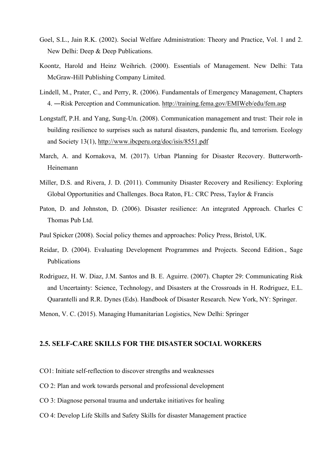- Goel, S.L., Jain R.K. (2002). Social Welfare Administration: Theory and Practice, Vol. 1 and 2. New Delhi: Deep & Deep Publications.
- Koontz, Harold and Heinz Weihrich. (2000). Essentials of Management. New Delhi: Tata McGraw-Hill Publishing Company Limited.
- Lindell, M., Prater, C., and Perry, R. (2006). Fundamentals of Emergency Management, Chapters 4. ―Risk Perception and Communication. http://training.fema.gov/EMIWeb/edu/fem.asp
- Longstaff, P.H. and Yang, Sung-Un. (2008). Communication management and trust: Their role in building resilience to surprises such as natural disasters, pandemic flu, and terrorism. Ecology and Society 13(1), http://www.ibcperu.org/doc/isis/8551.pdf
- March, A. and Kornakova, M. (2017). Urban Planning for Disaster Recovery. Butterworth-Heinemann
- Miller, D.S. and Rivera, J. D. (2011). Community Disaster Recovery and Resiliency: Exploring Global Opportunities and Challenges. Boca Raton, FL: CRC Press, Taylor & Francis
- Paton, D. and Johnston, D. (2006). Disaster resilience: An integrated Approach. Charles C Thomas Pub Ltd.
- Paul Spicker (2008). Social policy themes and approaches: Policy Press, Bristol, UK.
- Reidar, D. (2004). Evaluating Development Programmes and Projects. Second Edition., Sage Publications
- Rodriguez, H. W. Diaz, J.M. Santos and B. E. Aguirre. (2007). Chapter 29: Communicating Risk and Uncertainty: Science, Technology, and Disasters at the Crossroads in H. Rodriguez, E.L. Quarantelli and R.R. Dynes (Eds). Handbook of Disaster Research. New York, NY: Springer.

Menon, V. C. (2015). Managing Humanitarian Logistics, New Delhi: Springer

#### **2.5. SELF-CARE SKILLS FOR THE DISASTER SOCIAL WORKERS**

- CO1: Initiate self-reflection to discover strengths and weaknesses
- CO 2: Plan and work towards personal and professional development
- CO 3: Diagnose personal trauma and undertake initiatives for healing
- CO 4: Develop Life Skills and Safety Skills for disaster Management practice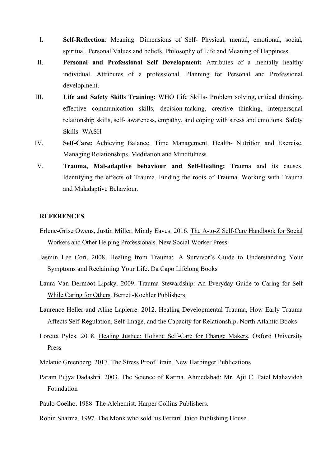- I. **Self-Reflection**: Meaning. Dimensions of Self- Physical, mental, emotional, social, spiritual. Personal Values and beliefs. Philosophy of Life and Meaning of Happiness.
- II. **Personal and Professional Self Development:** Attributes of a mentally healthy individual. Attributes of a professional. Planning for Personal and Professional development.
- III. **Life and Safety Skills Training:** WHO Life Skills- Problem solving, critical thinking, effective communication skills, decision-making, creative thinking, interpersonal relationship skills, self- awareness, empathy, and coping with stress and emotions. Safety Skills- WASH
- IV. **Self-Care:** Achieving Balance. Time Management. Health- Nutrition and Exercise. Managing Relationships. Meditation and Mindfulness.
- V. **Trauma, Mal-adaptive behaviour and Self-Healing:** Trauma and its causes. Identifying the effects of Trauma. Finding the roots of Trauma. Working with Trauma and Maladaptive Behaviour.

- Erlene-Grise Owens, Justin Miller, Mindy Eaves. 2016. The A-to-Z Self-Care Handbook for Social Workers and Other Helping Professionals. New Social Worker Press.
- Jasmin Lee Cori. 2008. Healing from Trauma: A Survivor's Guide to Understanding Your Symptoms and Reclaiming Your Life**.** Da Capo Lifelong Books
- Laura Van Dermoot Lipsky. 2009. Trauma Stewardship: An Everyday Guide to Caring for Self While Caring for Others. Berrett-Koehler Publishers
- Laurence Heller and Aline Lapierre. 2012. Healing Developmental Trauma, How Early Trauma Affects Self-Regulation, Self-Image, and the Capacity for Relationship**.** North Atlantic Books
- Loretta Pyles. 2018. Healing Justice: Holistic Self-Care for Change Makers. Oxford University Press
- Melanie Greenberg. 2017. The Stress Proof Brain. New Harbinger Publications
- Param Pujya Dadashri. 2003. The Science of Karma. Ahmedabad: Mr. Ajit C. Patel Mahavideh Foundation
- Paulo Coelho. 1988. The Alchemist. Harper Collins Publishers.
- Robin Sharma. 1997. The Monk who sold his Ferrari. Jaico Publishing House.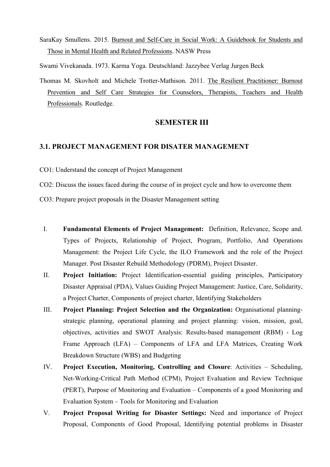SaraKay Smullens. 2015. Burnout and Self-Care in Social Work: A Guidebook for Students and Those in Mental Health and Related Professions. NASW Press

Swami Vivekanada. 1973. Karma Yoga. Deutschland: Jazzybee Verlag Jurgen Beck

Thomas M. Skovholt and Michele Trotter-Mathison. 2011. The Resilient Practitioner: Burnout Prevention and Self Care Strategies for Counselors, Therapists, Teachers and Health Professionals. Routledge.

#### **SEMESTER III**

#### **3.1. PROJECT MANAGEMENT FOR DISATER MANAGEMENT**

CO1: Understand the concept of Project Management

CO2: Discuss the issues faced during the course of in project cycle and how to overcome them

CO3: Prepare project proposals in the Disaster Management setting

- I. **Fundamental Elements of Project Management:** Definition, Relevance, Scope and. Types of Projects, Relationship of Project, Program, Portfolio, And Operations Management: the Project Life Cycle, the ILO Framework and the role of the Project Manager. Post Disaster Rebuild Methodology (PDRM), Project Disaster.
- II. **Project Initiation:** Project Identification-essential guiding principles, Participatory Disaster Appraisal (PDA), Values Guiding Project Management: Justice, Care, Solidarity, a Project Charter, Components of project charter, Identifying Stakeholders
- III. **Project Planning: Project Selection and the Organization:** Organisational planningstrategic planning, operational planning and project planning: vision, mission, goal, objectives, activities and SWOT Analysis: Results-based management (RBM) - Log Frame Approach (LFA) – Components of LFA and LFA Matrices, Creating Work Breakdown Structure (WBS) and Budgeting
- IV. **Project Execution, Monitoring, Controlling and Closure**: Activities Scheduling, Net-Working-Critical Path Method (CPM), Project Evaluation and Review Technique (PERT), Purpose of Monitoring and Evaluation – Components of a good Monitoring and Evaluation System – Tools for Monitoring and Evaluation
- V. **Project Proposal Writing for Disaster Settings:** Need and importance of Project Proposal, Components of Good Proposal, Identifying potential problems in Disaster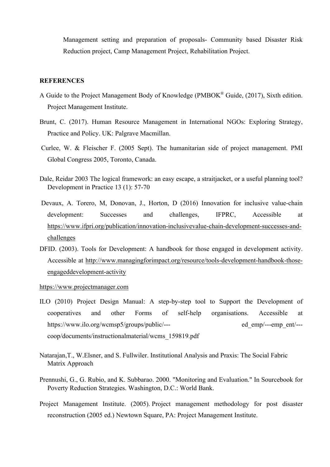Management setting and preparation of proposals- Community based Disaster Risk Reduction project, Camp Management Project, Rehabilitation Project.

#### **REFERENCES**

- A Guide to the Project Management Body of Knowledge (PMBOK<sup>®</sup> Guide,  $(2017)$ , Sixth edition. Project Management Institute.
- Brunt, C. (2017). Human Resource Management in International NGOs: Exploring Strategy, Practice and Policy. UK: Palgrave Macmillan.
- Curlee, W. & Fleischer F. (2005 Sept). The humanitarian side of project management. PMI Global Congress 2005, Toronto, Canada.
- Dale, Reidar 2003 The logical framework: an easy escape, a straitjacket, or a useful planning tool? Development in Practice 13 (1): 57-70
- Devaux, A. Torero, M, Donovan, J., Horton, D (2016) Innovation for inclusive value-chain development: Successes and challenges, IFPRC, Accessible at https://www.ifpri.org/publication/innovation-inclusivevalue-chain-development-successes-andchallenges
- DFID. (2003). Tools for Development: A handbook for those engaged in development activity. Accessible at http://www.managingforimpact.org/resource/tools-development-handbook-thoseengageddevelopment-activity

#### https://www.projectmanager.com

- ILO (2010) Project Design Manual: A step-by-step tool to Support the Development of cooperatives and other Forms of self-help organisations. Accessible at https://www.ilo.org/wcmsp5/groups/public/--- ed emp/---emp ent/--coop/documents/instructionalmaterial/wcms\_159819.pdf
- Natarajan,T., W.Elsner, and S. Fullwiler. Institutional Analysis and Praxis: The Social Fabric Matrix Approach
- Prennushi, G., G. Rubio, and K. Subbarao. 2000. "Monitoring and Evaluation." In Sourcebook for Poverty Reduction Strategies. Washington, D.C.: World Bank.
- Project Management Institute. (2005). Project management methodology for post disaster reconstruction (2005 ed.) Newtown Square, PA: Project Management Institute.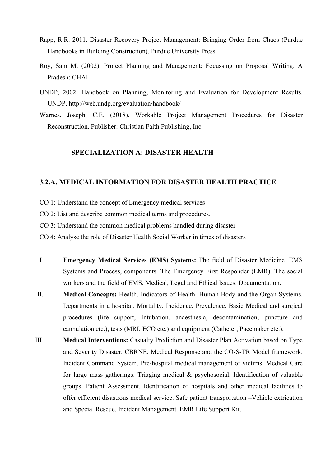- Rapp, R.R. 2011. Disaster Recovery Project Management: Bringing Order from Chaos (Purdue Handbooks in Building Construction). Purdue University Press.
- Roy, Sam M. (2002). Project Planning and Management: Focussing on Proposal Writing. A Pradesh: CHAI.
- UNDP, 2002. Handbook on Planning, Monitoring and Evaluation for Development Results. UNDP. http://web.undp.org/evaluation/handbook/
- Warnes, Joseph, C.E. (2018). Workable Project Management Procedures for Disaster Reconstruction. Publisher: Christian Faith Publishing, Inc.

#### **SPECIALIZATION A: DISASTER HEALTH**

#### **3.2.A. MEDICAL INFORMATION FOR DISASTER HEALTH PRACTICE**

- CO 1: Understand the concept of Emergency medical services
- CO 2: List and describe common medical terms and procedures.
- CO 3: Understand the common medical problems handled during disaster
- CO 4: Analyse the role of Disaster Health Social Worker in times of disasters
- I. **Emergency Medical Services (EMS) Systems:** The field of Disaster Medicine. EMS Systems and Process, components. The Emergency First Responder (EMR). The social workers and the field of EMS. Medical, Legal and Ethical Issues. Documentation.
- II. **Medical Concepts:** Health. Indicators of Health. Human Body and the Organ Systems. Departments in a hospital. Mortality, Incidence, Prevalence. Basic Medical and surgical procedures (life support, Intubation, anaesthesia, decontamination, puncture and cannulation etc.), tests (MRI, ECO etc.) and equipment (Catheter, Pacemaker etc.).
- III. **Medical Interventions:** Casualty Prediction and Disaster Plan Activation based on Type and Severity Disaster. CBRNE. Medical Response and the CO-S-TR Model framework. Incident Command System. Pre-hospital medical management of victims. Medical Care for large mass gatherings. Triaging medical & psychosocial. Identification of valuable groups. Patient Assessment. Identification of hospitals and other medical facilities to offer efficient disastrous medical service. Safe patient transportation –Vehicle extrication and Special Rescue. Incident Management. EMR Life Support Kit.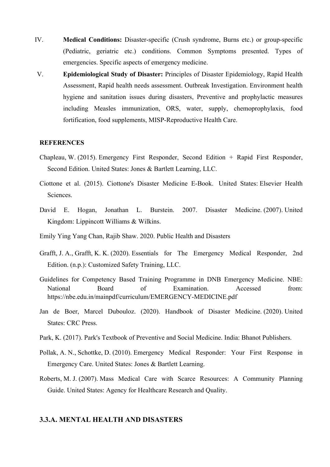- IV. **Medical Conditions:** Disaster-specific (Crush syndrome, Burns etc.) or group-specific (Pediatric, geriatric etc.) conditions. Common Symptoms presented. Types of emergencies. Specific aspects of emergency medicine.
- V. **Epidemiological Study of Disaster:** Principles of Disaster Epidemiology, Rapid Health Assessment, Rapid health needs assessment. Outbreak Investigation. Environment health hygiene and sanitation issues during disasters, Preventive and prophylactic measures including Measles immunization, ORS, water, supply, chemoprophylaxis, food fortification, food supplements, MISP-Reproductive Health Care.

#### **REFERENCES**

- Chapleau, W. (2015). Emergency First Responder, Second Edition + Rapid First Responder, Second Edition. United States: Jones & Bartlett Learning, LLC.
- Ciottone et al. (2015). Ciottone's Disaster Medicine E-Book. United States: Elsevier Health **Sciences**
- David E. Hogan, Jonathan L. Burstein. 2007. Disaster Medicine. (2007). United Kingdom: Lippincott Williams & Wilkins.
- Emily Ying Yang Chan, Rajib Shaw. 2020. Public Health and Disasters
- Grafft, J. A., Grafft, K. K. (2020). Essentials for The Emergency Medical Responder, 2nd Edition. (n.p.): Customized Safety Training, LLC.
- Guidelines for Competency Based Training Programme in DNB Emergency Medicine. NBE: National Board of Examination. Accessed from: https://nbe.edu.in/mainpdf/curriculum/EMERGENCY-MEDICINE.pdf
- Jan de Boer, Marcel Dubouloz. (2020). Handbook of Disaster Medicine. (2020). United States: CRC Press.
- Park, K. (2017). Park's Textbook of Preventive and Social Medicine. India: Bhanot Publishers.
- Pollak, A. N., Schottke, D. (2010). Emergency Medical Responder: Your First Response in Emergency Care. United States: Jones & Bartlett Learning.
- Roberts, M. J. (2007). Mass Medical Care with Scarce Resources: A Community Planning Guide. United States: Agency for Healthcare Research and Quality.

#### **3.3.A. MENTAL HEALTH AND DISASTERS**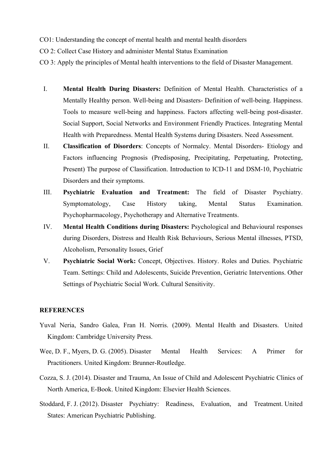- CO1: Understanding the concept of mental health and mental health disorders
- CO 2: Collect Case History and administer Mental Status Examination
- CO 3: Apply the principles of Mental health interventions to the field of Disaster Management.
	- I. **Mental Health During Disasters:** Definition of Mental Health. Characteristics of a Mentally Healthy person. Well-being and Disasters- Definition of well-being. Happiness. Tools to measure well-being and happiness. Factors affecting well-being post-disaster. Social Support, Social Networks and Environment Friendly Practices. Integrating Mental Health with Preparedness. Mental Health Systems during Disasters. Need Assessment.
	- II. **Classification of Disorders**: Concepts of Normalcy. Mental Disorders- Etiology and Factors influencing Prognosis (Predisposing, Precipitating, Perpetuating, Protecting, Present) The purpose of Classification. Introduction to ICD-11 and DSM-10, Psychiatric Disorders and their symptoms.
	- III. **Psychiatric Evaluation and Treatment:** The field of Disaster Psychiatry. Symptomatology, Case History taking, Mental Status Examination. Psychopharmacology, Psychotherapy and Alternative Treatments.
	- IV. **Mental Health Conditions during Disasters:** Psychological and Behavioural responses during Disorders, Distress and Health Risk Behaviours, Serious Mental illnesses, PTSD, Alcoholism, Personality Issues, Grief
	- V. **Psychiatric Social Work:** Concept, Objectives. History. Roles and Duties. Psychiatric Team. Settings: Child and Adolescents, Suicide Prevention, Geriatric Interventions. Other Settings of Psychiatric Social Work. Cultural Sensitivity.

- Yuval Neria, Sandro Galea, Fran H. Norris. (2009). Mental Health and Disasters. United Kingdom: Cambridge University Press.
- Wee, D. F., Myers, D. G. (2005). Disaster Mental Health Services: A Primer for Practitioners. United Kingdom: Brunner-Routledge.
- Cozza, S. J. (2014). Disaster and Trauma, An Issue of Child and Adolescent Psychiatric Clinics of North America, E-Book. United Kingdom: Elsevier Health Sciences.
- Stoddard, F. J. (2012). Disaster Psychiatry: Readiness, Evaluation, and Treatment. United States: American Psychiatric Publishing.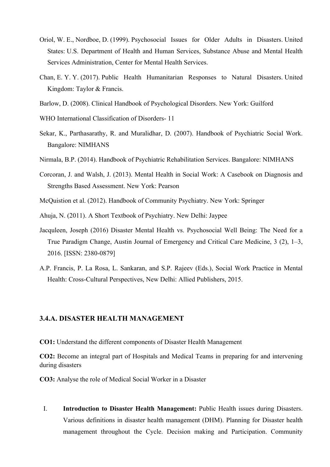- Oriol, W. E., Nordboe, D. (1999). Psychosocial Issues for Older Adults in Disasters. United States: U.S. Department of Health and Human Services, Substance Abuse and Mental Health Services Administration, Center for Mental Health Services.
- Chan, E. Y. Y. (2017). Public Health Humanitarian Responses to Natural Disasters. United Kingdom: Taylor & Francis.
- Barlow, D. (2008). Clinical Handbook of Psychological Disorders. New York: Guilford
- WHO International Classification of Disorders- 11
- Sekar, K., Parthasarathy, R. and Muralidhar, D. (2007). Handbook of Psychiatric Social Work. Bangalore: NIMHANS
- Nirmala, B.P. (2014). Handbook of Psychiatric Rehabilitation Services. Bangalore: NIMHANS
- Corcoran, J. and Walsh, J. (2013). Mental Health in Social Work: A Casebook on Diagnosis and Strengths Based Assessment. New York: Pearson
- McQuistion et al. (2012). Handbook of Community Psychiatry. New York: Springer
- Ahuja, N. (2011). A Short Textbook of Psychiatry. New Delhi: Jaypee
- Jacquleen, Joseph (2016) Disaster Mental Health vs. Psychosocial Well Being: The Need for a True Paradigm Change, Austin Journal of Emergency and Critical Care Medicine, 3 (2), 1–3, 2016. [ISSN: 2380-0879]
- A.P. Francis, P. La Rosa, L. Sankaran, and S.P. Rajeev (Eds.), Social Work Practice in Mental Health: Cross-Cultural Perspectives, New Delhi: Allied Publishers, 2015.

#### **3.4.A. DISASTER HEALTH MANAGEMENT**

**CO1:** Understand the different components of Disaster Health Management

**CO2:** Become an integral part of Hospitals and Medical Teams in preparing for and intervening during disasters

**CO3:** Analyse the role of Medical Social Worker in a Disaster

I. **Introduction to Disaster Health Management:** Public Health issues during Disasters. Various definitions in disaster health management (DHM). Planning for Disaster health management throughout the Cycle. Decision making and Participation. Community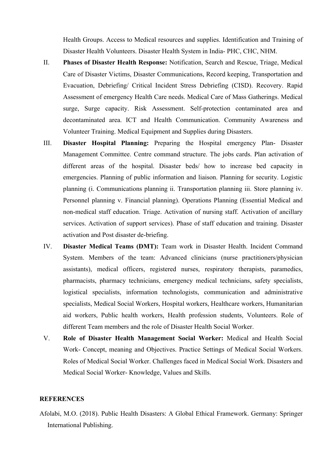Health Groups. Access to Medical resources and supplies. Identification and Training of Disaster Health Volunteers. Disaster Health System in India- PHC, CHC, NHM.

- II. **Phases of Disaster Health Response:** Notification, Search and Rescue, Triage, Medical Care of Disaster Victims, Disaster Communications, Record keeping, Transportation and Evacuation, Debriefing/ Critical Incident Stress Debriefing (CISD). Recovery. Rapid Assessment of emergency Health Care needs. Medical Care of Mass Gatherings. Medical surge, Surge capacity. Risk Assessment. Self-protection contaminated area and decontaminated area. ICT and Health Communication. Community Awareness and Volunteer Training. Medical Equipment and Supplies during Disasters.
- III. **Disaster Hospital Planning:** Preparing the Hospital emergency Plan- Disaster Management Committee. Centre command structure. The jobs cards. Plan activation of different areas of the hospital. Disaster beds/ how to increase bed capacity in emergencies. Planning of public information and liaison. Planning for security. Logistic planning (i. Communications planning ii. Transportation planning iii. Store planning iv. Personnel planning v. Financial planning). Operations Planning (Essential Medical and non-medical staff education. Triage. Activation of nursing staff. Activation of ancillary services. Activation of support services). Phase of staff education and training. Disaster activation and Post disaster de-briefing.
- IV. **Disaster Medical Teams (DMT):** Team work in Disaster Health. Incident Command System. Members of the team: Advanced clinicians (nurse practitioners/physician assistants), medical officers, registered nurses, respiratory therapists, paramedics, pharmacists, pharmacy technicians, emergency medical technicians, safety specialists, logistical specialists, information technologists, communication and administrative specialists, Medical Social Workers, Hospital workers, Healthcare workers, Humanitarian aid workers, Public health workers, Health profession students, Volunteers. Role of different Team members and the role of Disaster Health Social Worker.
- V. **Role of Disaster Health Management Social Worker:** Medical and Health Social Work- Concept, meaning and Objectives. Practice Settings of Medical Social Workers. Roles of Medical Social Worker. Challenges faced in Medical Social Work. Disasters and Medical Social Worker- Knowledge, Values and Skills.

#### **REFERENCES**

Afolabi, M.O. (2018). Public Health Disasters: A Global Ethical Framework. Germany: Springer International Publishing.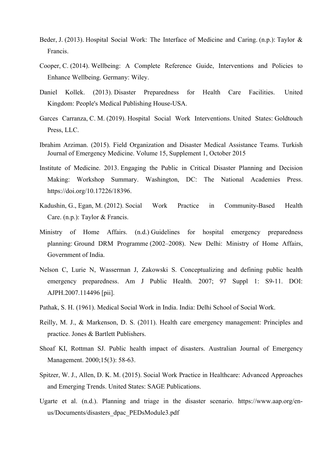- Beder, J. (2013). Hospital Social Work: The Interface of Medicine and Caring. (n.p.): Taylor & Francis.
- Cooper, C. (2014). Wellbeing: A Complete Reference Guide, Interventions and Policies to Enhance Wellbeing. Germany: Wiley.
- Daniel Kollek. (2013). Disaster Preparedness for Health Care Facilities. United Kingdom: People's Medical Publishing House-USA.
- Garces Carranza, C. M. (2019). Hospital Social Work Interventions. United States: Goldtouch Press, LLC.
- Ibrahim Arziman. (2015). Field Organization and Disaster Medical Assistance Teams. Turkish Journal of Emergency Medicine. Volume 15, Supplement 1, October 2015
- Institute of Medicine. 2013. Engaging the Public in Critical Disaster Planning and Decision Making: Workshop Summary. Washington, DC: The National Academies Press. https://doi.org/10.17226/18396.
- Kadushin, G., Egan, M. (2012). Social Work Practice in Community-Based Health Care. (n.p.): Taylor & Francis.
- Ministry of Home Affairs. (n.d.) Guidelines for hospital emergency preparedness planning: Ground DRM Programme (2002–2008). New Delhi: Ministry of Home Affairs, Government of India.
- Nelson C, Lurie N, Wasserman J, Zakowski S. Conceptualizing and defining public health emergency preparedness. Am J Public Health. 2007; 97 Suppl 1: S9-11. DOI: AJPH.2007.114496 [pii].
- Pathak, S. H. (1961). Medical Social Work in India. India: Delhi School of Social Work.
- Reilly, M. J., & Markenson, D. S. (2011). Health care emergency management: Principles and practice. Jones & Bartlett Publishers.
- Shoaf KI, Rottman SJ. Public health impact of disasters. Australian Journal of Emergency Management. 2000;15(3): 58-63.
- Spitzer, W. J., Allen, D. K. M. (2015). Social Work Practice in Healthcare: Advanced Approaches and Emerging Trends. United States: SAGE Publications.
- Ugarte et al. (n.d.). Planning and triage in the disaster scenario. https://www.aap.org/enus/Documents/disasters\_dpac\_PEDsModule3.pdf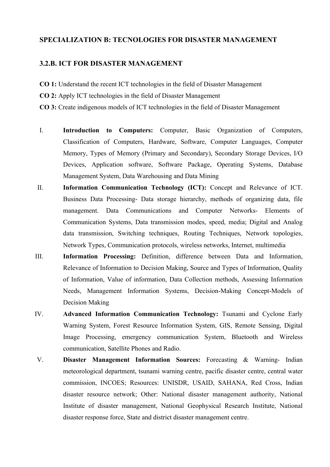#### **SPECIALIZATION B: TECNOLOGIES FOR DISASTER MANAGEMENT**

#### **3.2.B. ICT FOR DISASTER MANAGEMENT**

- **CO 1:** Understand the recent ICT technologies in the field of Disaster Management
- **CO 2:** Apply ICT technologies in the field of Disaster Management
- **CO 3:** Create indigenous models of ICT technologies in the field of Disaster Management
- I. **Introduction to Computers:** Computer, Basic Organization of Computers, Classification of Computers, Hardware, Software, Computer Languages, Computer Memory, Types of Memory (Primary and Secondary), Secondary Storage Devices, I/O Devices, Application software, Software Package, Operating Systems, Database Management System, Data Warehousing and Data Mining
- II. **Information Communication Technology (ICT):** Concept and Relevance of ICT. Business Data Processing- Data storage hierarchy, methods of organizing data, file management. Data Communications and Computer Networks- Elements of Communication Systems, Data transmission modes, speed, media; Digital and Analog data transmission, Switching techniques, Routing Techniques, Network topologies, Network Types, Communication protocols, wireless networks, Internet, multimedia
- III. **Information Processing:** Definition, difference between Data and Information, Relevance of Information to Decision Making, Source and Types of Information, Quality of Information, Value of information, Data Collection methods, Assessing Information Needs, Management Information Systems, Decision-Making Concept-Models of Decision Making
- IV. **Advanced Information Communication Technology:** Tsunami and Cyclone Early Warning System, Forest Resource Information System, GIS, Remote Sensing, Digital Image Processing, emergency communication System, Bluetooth and Wireless communication, Satellite Phones and Radio.
- V. **Disaster Management Information Sources:** Forecasting & Warning- Indian meteorological department, tsunami warning centre, pacific disaster centre, central water commission, INCOES; Resources: UNISDR, USAID, SAHANA, Red Cross, Indian disaster resource network; Other: National disaster management authority, National Institute of disaster management, National Geophysical Research Institute, National disaster response force, State and district disaster management centre.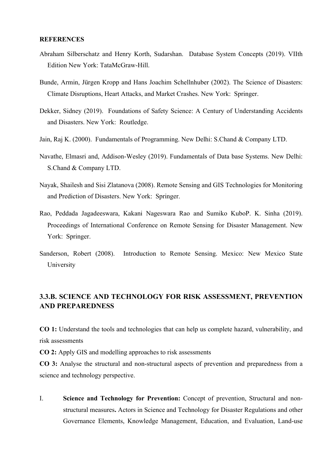#### **REFERENCES**

- Abraham Silberschatz and Henry Korth, Sudarshan. Database System Concepts (2019). VIIth Edition New York: TataMcGraw-Hill.
- Bunde, Armin, Jürgen Kropp and Hans Joachim Schellnhuber (2002). The Science of Disasters: Climate Disruptions, Heart Attacks, and Market Crashes. New York: Springer.
- Dekker, Sidney (2019). Foundations of Safety Science: A Century of Understanding Accidents and Disasters. New York: Routledge.
- Jain, Raj K. (2000). Fundamentals of Programming. New Delhi: S.Chand & Company LTD.
- Navathe, Elmasri and, Addison-Wesley (2019). Fundamentals of Data base Systems. New Delhi: S.Chand & Company LTD.
- Nayak, Shailesh and Sisi Zlatanova (2008). Remote Sensing and GIS Technologies for Monitoring and Prediction of Disasters. New York: Springer.
- Rao, Peddada Jagadeeswara, Kakani Nageswara Rao and Sumiko KuboP. K. Sinha (2019). Proceedings of International Conference on Remote Sensing for Disaster Management. New York: Springer.
- Sanderson, Robert (2008). Introduction to Remote Sensing. Mexico: New Mexico State University

#### **3.3.B. SCIENCE AND TECHNOLOGY FOR RISK ASSESSMENT, PREVENTION AND PREPAREDNESS**

**CO 1:** Understand the tools and technologies that can help us complete hazard, vulnerability, and risk assessments

**CO 2:** Apply GIS and modelling approaches to risk assessments

**CO 3:** Analyse the structural and non-structural aspects of prevention and preparedness from a science and technology perspective.

I. **Science and Technology for Prevention:** Concept of prevention, Structural and nonstructural measures**.** Actors in Science and Technology for Disaster Regulations and other Governance Elements, Knowledge Management, Education, and Evaluation, Land-use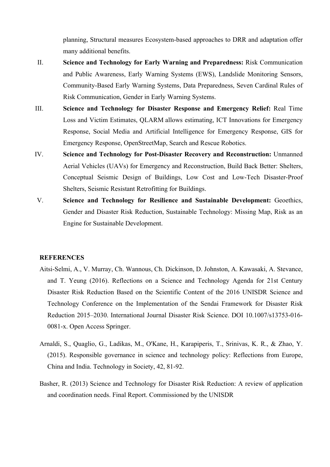planning, Structural measures Ecosystem-based approaches to DRR and adaptation offer many additional benefits.

- II. **Science and Technology for Early Warning and Preparedness:** Risk Communication and Public Awareness, Early Warning Systems (EWS), Landslide Monitoring Sensors, Community-Based Early Warning Systems, Data Preparedness, Seven Cardinal Rules of Risk Communication, Gender in Early Warning Systems.
- III. **Science and Technology for Disaster Response and Emergency Relief:** Real Time Loss and Victim Estimates, QLARM allows estimating, ICT Innovations for Emergency Response, Social Media and Artificial Intelligence for Emergency Response, GIS for Emergency Response, OpenStreetMap, Search and Rescue Robotics.
- IV. **Science and Technology for Post-Disaster Recovery and Reconstruction:** Unmanned Aerial Vehicles (UAVs) for Emergency and Reconstruction, Build Back Better: Shelters, Conceptual Seismic Design of Buildings, Low Cost and Low-Tech Disaster-Proof Shelters, Seismic Resistant Retrofitting for Buildings.
- V. **Science and Technology for Resilience and Sustainable Development:** Geoethics, Gender and Disaster Risk Reduction, Sustainable Technology: Missing Map, Risk as an Engine for Sustainable Development.

- Aitsi-Selmi, A., V. Murray, Ch. Wannous, Ch. Dickinson, D. Johnston, A. Kawasaki, A. Stevance, and T. Yeung (2016). Reflections on a Science and Technology Agenda for 21st Century Disaster Risk Reduction Based on the Scientific Content of the 2016 UNISDR Science and Technology Conference on the Implementation of the Sendai Framework for Disaster Risk Reduction 2015–2030. International Journal Disaster Risk Science. DOI 10.1007/s13753-016- 0081-x. Open Access Springer.
- Arnaldi, S., Quaglio, G., Ladikas, M., O'Kane, H., Karapiperis, T., Srinivas, K. R., & Zhao, Y. (2015). Responsible governance in science and technology policy: Reflections from Europe, China and India. Technology in Society, 42, 81-92.
- Basher, R. (2013) Science and Technology for Disaster Risk Reduction: A review of application and coordination needs. Final Report. Commissioned by the UNISDR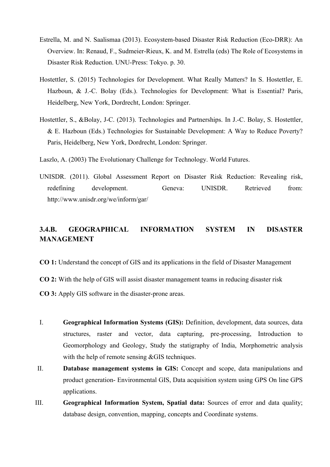- Estrella, M. and N. Saalismaa (2013). Ecosystem-based Disaster Risk Reduction (Eco-DRR): An Overview. In: Renaud, F., Sudmeier-Rieux, K. and M. Estrella (eds) The Role of Ecosystems in Disaster Risk Reduction. UNU-Press: Tokyo. p. 30.
- Hostettler, S. (2015) Technologies for Development. What Really Matters? In S. Hostettler, E. Hazboun, & J.-C. Bolay (Eds.). Technologies for Development: What is Essential? Paris, Heidelberg, New York, Dordrecht, London: Springer.
- Hostettler, S., &Bolay, J-C. (2013). Technologies and Partnerships. In J.-C. Bolay, S. Hostettler, & E. Hazboun (Eds.) Technologies for Sustainable Development: A Way to Reduce Poverty? Paris, Heidelberg, New York, Dordrecht, London: Springer.
- Laszlo, A. (2003) The Evolutionary Challenge for Technology. World Futures.
- UNISDR. (2011). Global Assessment Report on Disaster Risk Reduction: Revealing risk, redefining development. Geneva: UNISDR. Retrieved from: http://www.unisdr.org/we/inform/gar/

#### **3.4.B. GEOGRAPHICAL INFORMATION SYSTEM IN DISASTER MANAGEMENT**

**CO 1:** Understand the concept of GIS and its applications in the field of Disaster Management

**CO 2:** With the help of GIS will assist disaster management teams in reducing disaster risk

**CO 3:** Apply GIS software in the disaster-prone areas.

- I. **Geographical Information Systems (GIS):** Definition, development, data sources, data structures, raster and vector, data capturing, pre-processing, Introduction to Geomorphology and Geology, Study the statigraphy of India, Morphometric analysis with the help of remote sensing &GIS techniques.
- II. **Database management systems in GIS:** Concept and scope, data manipulations and product generation- Environmental GIS, Data acquisition system using GPS On line GPS applications.
- III. **Geographical Information System, Spatial data:** Sources of error and data quality; database design, convention, mapping, concepts and Coordinate systems.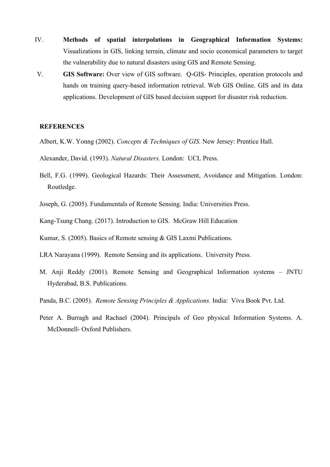- IV. **Methods of spatial interpolations in Geographical Information Systems:** Visualizations in GIS, linking terrain, climate and socio economical parameters to target the vulnerability due to natural disasters using GIS and Remote Sensing.
- V. **GIS Software:** Over view of GIS software. Q-GIS- Principles, operation protocols and hands on training query-based information retrieval. Web GIS Online. GIS and its data applications. Development of GIS based decision support for disaster risk reduction.

- Albert, K.W. Yonng (2002). *Concepts & Techniques of GIS.* New Jersey: Prentice Hall.
- Alexander, David. (1993). *Natural Disasters.* London: UCL Press.
- Bell, F.G. (1999). Geological Hazards: Their Assessment, Avoidance and Mitigation. London: Routledge.
- Joseph, G. (2005). Fundamentals of Remote Sensing. India: Universities Press.
- Kang-Tsung Chang. (2017). Introduction to GIS. McGraw Hill Education
- Kumar, S. (2005). Basics of Remote sensing & GIS Laxmi Publications.
- LRA Narayana (1999). Remote Sensing and its applications. University Press.
- M. Anji Reddy (2001). Remote Sensing and Geographical Information systems JNTU Hyderabad, B.S. Publications.
- Panda, B.C. (2005). *Remote Sensing Principles & Applications.* India: Viva Book Pvt. Ltd.
- Peter A. Burragh and Rachael (2004). Principals of Geo physical Information Systems. A. McDonnell- Oxford Publishers.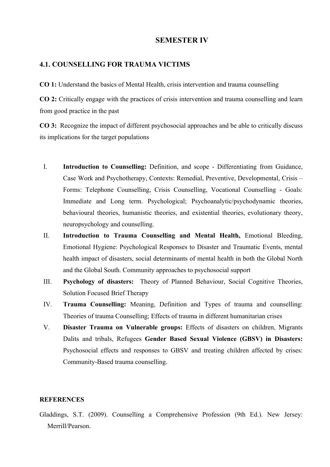#### **SEMESTER IV**

#### **4.1. COUNSELLING FOR TRAUMA VICTIMS**

**CO 1:** Understand the basics of Mental Health, crisis intervention and trauma counselling

**CO 2:** Critically engage with the practices of crisis intervention and trauma counselling and learn from good practice in the past

**CO 3:** Recognize the impact of different psychosocial approaches and be able to critically discuss its implications for the target populations

- I. **Introduction to Counselling:** Definition, and scope Differentiating from Guidance, Case Work and Psychotherapy, Contexts: Remedial, Preventive, Developmental, Crisis – Forms: Telephone Counselling, Crisis Counselling, Vocational Counselling - Goals: Immediate and Long term. Psychological; Psychoanalytic/psychodynamic theories, behavioural theories, humanistic theories, and existential theories, evolutionary theory, neuropsychology and counselling.
- II. **Introduction to Trauma Counselling and Mental Health,** Emotional Bleeding, Emotional Hygiene: Psychological Responses to Disaster and Traumatic Events, mental health impact of disasters, social determinants of mental health in both the Global North and the Global South. Community approaches to psychosocial support
- III. **Psychology of disasters:** Theory of Planned Behaviour, Social Cognitive Theories, Solution Focused Brief Therapy
- IV. **Trauma Counselling:** Meaning, Definition and Types of trauma and counselling: Theories of trauma Counselling; Effects of trauma in different humanitarian crises
- V. **Disaster Trauma on Vulnerable groups:** Effects of disasters on children, Migrants Dalits and tribals, Refugees **Gender Based Sexual Violence (GBSV) in Disasters:**  Psychosocial effects and responses to GBSV and treating children affected by crises: Community-Based trauma counselling.

#### **REFERENCES**

Gladdings, S.T. (2009). Counselling a Comprehensive Profession (9th Ed.). New Jersey: Merrill/Pearson.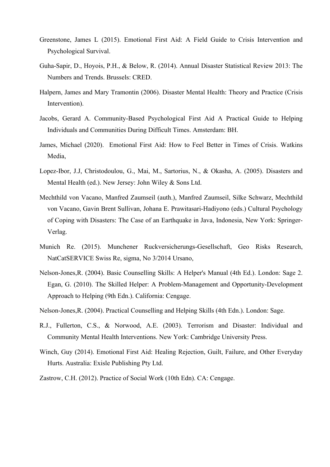- Greenstone, James L (2015). Emotional First Aid: A Field Guide to Crisis Intervention and Psychological Survival.
- Guha-Sapir, D., Hoyois, P.H., & Below, R. (2014). Annual Disaster Statistical Review 2013: The Numbers and Trends. Brussels: CRED.
- Halpern, James and Mary Tramontin (2006). Disaster Mental Health: Theory and Practice (Crisis Intervention).
- Jacobs, Gerard A. Community-Based Psychological First Aid A Practical Guide to Helping Individuals and Communities During Difficult Times. Amsterdam: BH.
- James, Michael (2020). Emotional First Aid: How to Feel Better in Times of Crisis. Watkins Media,
- Lopez-Ibor, J.J, Christodoulou, G., Mai, M., Sartorius, N., & Okasha, A. (2005). Disasters and Mental Health (ed.). New Jersey: John Wiley & Sons Ltd.
- Mechthild von Vacano, Manfred Zaumseil (auth.), Manfred Zaumseil, Silke Schwarz, Mechthild von Vacano, Gavin Brent Sullivan, Johana E. Prawitasari-Hadiyono (eds.) Cultural Psychology of Coping with Disasters: The Case of an Earthquake in Java, Indonesia, New York: Springer-Verlag.
- Munich Re. (2015). Munchener Ruckversicherungs-Gesellschaft, Geo Risks Research, NatCatSERVICE Swiss Re, sigma, No 3/2014 Ursano,
- Nelson-Jones,R. (2004). Basic Counselling Skills: A Helper's Manual (4th Ed.). London: Sage 2. Egan, G. (2010). The Skilled Helper: A Problem-Management and Opportunity-Development Approach to Helping (9th Edn.). California: Cengage.
- Nelson-Jones,R. (2004). Practical Counselling and Helping Skills (4th Edn.). London: Sage.
- R.J., Fullerton, C.S., & Norwood, A.E. (2003). Terrorism and Disaster: Individual and Community Mental Health Interventions. New York: Cambridge University Press.
- Winch, Guy (2014). Emotional First Aid: Healing Rejection, Guilt, Failure, and Other Everyday Hurts. Australia: Exisle Publishing Pty Ltd.
- Zastrow, C.H. (2012). Practice of Social Work (10th Edn). CA: Cengage.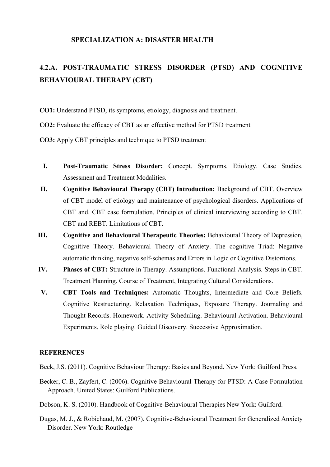#### **SPECIALIZATION A: DISASTER HEALTH**

### **4.2.A. POST-TRAUMATIC STRESS DISORDER (PTSD) AND COGNITIVE BEHAVIOURAL THERAPY (CBT)**

**CO1:** Understand PTSD, its symptoms, etiology, diagnosis and treatment.

**CO2:** Evaluate the efficacy of CBT as an effective method for PTSD treatment

- **CO3:** Apply CBT principles and technique to PTSD treatment
- **I. Post-Traumatic Stress Disorder:** Concept. Symptoms. Etiology. Case Studies. Assessment and Treatment Modalities.
- **II. Cognitive Behavioural Therapy (CBT) Introduction:** Background of CBT. Overview of CBT model of etiology and maintenance of psychological disorders. Applications of CBT and. CBT case formulation. Principles of clinical interviewing according to CBT. CBT and REBT. Limitations of CBT.
- **III. Cognitive and Behavioural Therapeutic Theories:** Behavioural Theory of Depression, Cognitive Theory. Behavioural Theory of Anxiety. The cognitive Triad: Negative automatic thinking, negative self-schemas and Errors in Logic or Cognitive Distortions.
- **IV. Phases of CBT:** Structure in Therapy. Assumptions. Functional Analysis. Steps in CBT. Treatment Planning. Course of Treatment, Integrating Cultural Considerations.
- **V. CBT Tools and Techniques:** Automatic Thoughts, Intermediate and Core Beliefs. Cognitive Restructuring. Relaxation Techniques, Exposure Therapy. Journaling and Thought Records. Homework. Activity Scheduling. Behavioural Activation. Behavioural Experiments. Role playing. Guided Discovery. Successive Approximation.

#### **REFERENCES**

Beck, J.S. (2011). Cognitive Behaviour Therapy: Basics and Beyond. New York: Guilford Press.

- Becker, C. B., Zayfert, C. (2006). Cognitive-Behavioural Therapy for PTSD: A Case Formulation Approach. United States: Guilford Publications.
- Dobson, K. S. (2010). Handbook of Cognitive-Behavioural Therapies New York: Guilford.
- Dugas, M. J., & Robichaud, M. (2007). Cognitive-Behavioural Treatment for Generalized Anxiety Disorder. New York: Routledge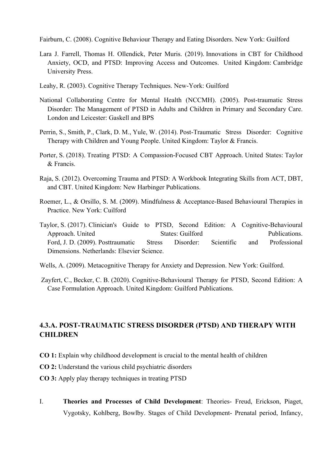Fairburn, C. (2008). Cognitive Behaviour Therapy and Eating Disorders. New York: Guilford

- Lara J. Farrell, Thomas H. Ollendick, Peter Muris. (2019). Innovations in CBT for Childhood Anxiety, OCD, and PTSD: Improving Access and Outcomes. United Kingdom: Cambridge University Press.
- Leahy, R. (2003). Cognitive Therapy Techniques. New-York: Guilford
- National Collaborating Centre for Mental Health (NCCMH). (2005). Post-traumatic Stress Disorder: The Management of PTSD in Adults and Children in Primary and Secondary Care. London and Leicester: Gaskell and BPS
- Perrin, S., Smith, P., Clark, D. M., Yule, W. (2014). Post-Traumatic Stress Disorder: Cognitive Therapy with Children and Young People. United Kingdom: Taylor & Francis.
- Porter, S. (2018). Treating PTSD: A Compassion-Focused CBT Approach. United States: Taylor & Francis.
- Raja, S. (2012). Overcoming Trauma and PTSD: A Workbook Integrating Skills from ACT, DBT, and CBT. United Kingdom: New Harbinger Publications.
- Roemer, L., & Orsillo, S. M. (2009). Mindfulness & Acceptance-Based Behavioural Therapies in Practice. New York: Cuilford
- Taylor, S. (2017). Clinician's Guide to PTSD, Second Edition: A Cognitive-Behavioural Approach. United States: Guilford Publications. Ford, J. D. (2009). Posttraumatic Stress Disorder: Scientific and Professional Dimensions. Netherlands: Elsevier Science.
- Wells, A. (2009). Metacognitive Therapy for Anxiety and Depression. New York: Guilford.
- Zayfert, C., Becker, C. B. (2020). Cognitive-Behavioural Therapy for PTSD, Second Edition: A Case Formulation Approach. United Kingdom: Guilford Publications.

#### **4.3.A. POST-TRAUMATIC STRESS DISORDER (PTSD) AND THERAPY WITH CHILDREN**

- **CO 1:** Explain why childhood development is crucial to the mental health of children
- **CO 2:** Understand the various child psychiatric disorders
- **CO 3:** Apply play therapy techniques in treating PTSD
- I. **Theories and Processes of Child Development**: Theories- Freud, Erickson, Piaget, Vygotsky, Kohlberg, Bowlby. Stages of Child Development- Prenatal period, Infancy,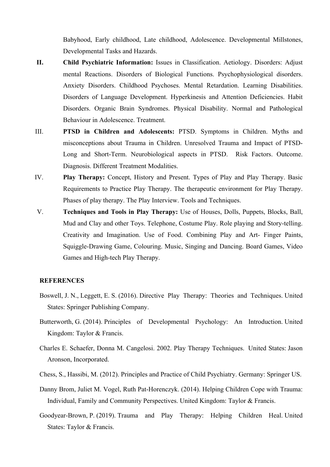Babyhood, Early childhood, Late childhood, Adolescence. Developmental Millstones, Developmental Tasks and Hazards.

- **II. Child Psychiatric Information:** Issues in Classification. Aetiology. Disorders: Adjust mental Reactions. Disorders of Biological Functions. Psychophysiological disorders. Anxiety Disorders. Childhood Psychoses. Mental Retardation. Learning Disabilities. Disorders of Language Development. Hyperkinesis and Attention Deficiencies. Habit Disorders. Organic Brain Syndromes. Physical Disability. Normal and Pathological Behaviour in Adolescence. Treatment.
- III. **PTSD in Children and Adolescents:** PTSD. Symptoms in Children. Myths and misconceptions about Trauma in Children. Unresolved Trauma and Impact of PTSD-Long and Short-Term. Neurobiological aspects in PTSD. Risk Factors. Outcome. Diagnosis. Different Treatment Modalities.
- IV. **Play Therapy:** Concept, History and Present. Types of Play and Play Therapy. Basic Requirements to Practice Play Therapy. The therapeutic environment for Play Therapy. Phases of play therapy. The Play Interview. Tools and Techniques.
- V. **Techniques and Tools in Play Therapy:** Use of Houses, Dolls, Puppets, Blocks, Ball, Mud and Clay and other Toys. Telephone, Costume Play. Role playing and Story-telling. Creativity and Imagination. Use of Food. Combining Play and Art- Finger Paints, Squiggle-Drawing Game, Colouring. Music, Singing and Dancing. Board Games, Video Games and High-tech Play Therapy.

- Boswell, J. N., Leggett, E. S. (2016). Directive Play Therapy: Theories and Techniques. United States: Springer Publishing Company.
- Butterworth, G. (2014). Principles of Developmental Psychology: An Introduction. United Kingdom: Taylor & Francis.
- Charles E. Schaefer, Donna M. Cangelosi. 2002. Play Therapy Techniques. United States: Jason Aronson, Incorporated.
- Chess, S., Hassibi, M. (2012). Principles and Practice of Child Psychiatry. Germany: Springer US.
- Danny Brom, Juliet M. Vogel, Ruth Pat-Horenczyk. (2014). Helping Children Cope with Trauma: Individual, Family and Community Perspectives. United Kingdom: Taylor & Francis.
- Goodyear-Brown, P. (2019). Trauma and Play Therapy: Helping Children Heal. United States: Taylor & Francis.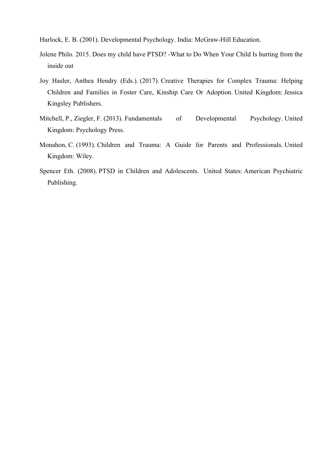Hurlock, E. B. (2001). Developmental Psychology. India: McGraw-Hill Education.

- Jolene Philo. 2015. Does my child have PTSD? -What to Do When Your Child Is hurting from the inside out
- Joy Hasler, Anthea Hendry (Eds.). (2017). Creative Therapies for Complex Trauma: Helping Children and Families in Foster Care, Kinship Care Or Adoption. United Kingdom: Jessica Kingsley Publishers.
- Mitchell, P., Ziegler, F. (2013). Fundamentals of Developmental Psychology. United Kingdom: Psychology Press.
- Monahon, C. (1993). Children and Trauma: A Guide for Parents and Professionals. United Kingdom: Wiley.
- Spencer Eth. (2008). PTSD in Children and Adolescents. United States: American Psychiatric Publishing.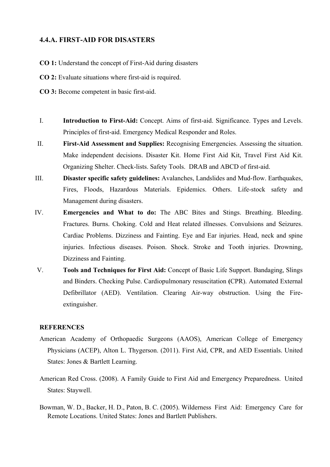#### **4.4.A. FIRST-AID FOR DISASTERS**

- **CO 1:** Understand the concept of First-Aid during disasters
- **CO 2:** Evaluate situations where first-aid is required.
- **CO 3:** Become competent in basic first-aid.
- I. **Introduction to First-Aid:** Concept. Aims of first-aid. Significance. Types and Levels. Principles of first-aid. Emergency Medical Responder and Roles.
- II. **First-Aid Assessment and Supplies:** Recognising Emergencies. Assessing the situation. Make independent decisions. Disaster Kit. Home First Aid Kit, Travel First Aid Kit. Organizing Shelter. Check-lists. Safety Tools. DRAB and ABCD of first-aid.
- III. **Disaster specific safety guidelines:** Avalanches, Landslides and Mud-flow. Earthquakes, Fires, Floods, Hazardous Materials. Epidemics. Others. Life-stock safety and Management during disasters.
- IV. **Emergencies and What to do:** The ABC Bites and Stings. Breathing. Bleeding. Fractures. Burns. Choking. Cold and Heat related illnesses. Convulsions and Seizures. Cardiac Problems. Dizziness and Fainting. Eye and Ear injuries. Head, neck and spine injuries. Infectious diseases. Poison. Shock. Stroke and Tooth injuries. Drowning, Dizziness and Fainting.
- V. **Tools and Techniques for First Aid:** Concept of Basic Life Support. Bandaging, Slings and Binders. Checking Pulse. Cardiopulmonary resuscitation **(**CPR). Automated External Defibrillator (AED). Ventilation. Clearing Air-way obstruction. Using the Fireextinguisher.

- American Academy of Orthopaedic Surgeons (AAOS), American College of Emergency Physicians (ACEP), Alton L. Thygerson. (2011). First Aid, CPR, and AED Essentials. United States: Jones & Bartlett Learning.
- American Red Cross. (2008). A Family Guide to First Aid and Emergency Preparedness. United States: Staywell.
- Bowman, W. D., Backer, H. D., Paton, B. C. (2005). Wilderness First Aid: Emergency Care for Remote Locations. United States: Jones and Bartlett Publishers.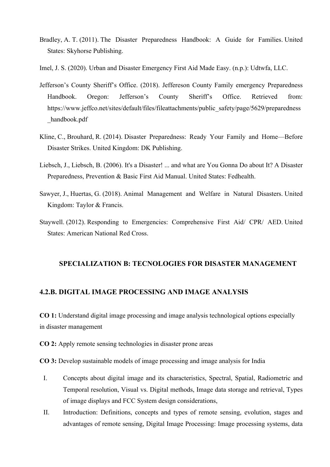- Bradley, A. T. (2011). The Disaster Preparedness Handbook: A Guide for Families. United States: Skyhorse Publishing.
- Imel, J. S. (2020). Urban and Disaster Emergency First Aid Made Easy. (n.p.): Udtwfa, LLC.
- Jefferson's County Sheriff's Office. (2018). Jeffereson County Family emergency Preparedness Handbook. Oregon: Jefferson's County Sheriff's Office. Retrieved from: https://www.jeffco.net/sites/default/files/fileattachments/public\_safety/page/5629/preparedness handbook.pdf
- Kline, C., Brouhard, R. (2014). Disaster Preparedness: Ready Your Family and Home—Before Disaster Strikes. United Kingdom: DK Publishing.
- Liebsch, J., Liebsch, B. (2006). It's a Disaster! ... and what are You Gonna Do about It? A Disaster Preparedness, Prevention & Basic First Aid Manual. United States: Fedhealth.
- Sawyer, J., Huertas, G. (2018). Animal Management and Welfare in Natural Disasters. United Kingdom: Taylor & Francis.
- Staywell. (2012). Responding to Emergencies: Comprehensive First Aid/ CPR/ AED. United States: American National Red Cross.

#### **SPECIALIZATION B: TECNOLOGIES FOR DISASTER MANAGEMENT**

#### **4.2.B. DIGITAL IMAGE PROCESSING AND IMAGE ANALYSIS**

**CO 1:** Understand digital image processing and image analysis technological options especially in disaster management

**CO 2:** Apply remote sensing technologies in disaster prone areas

**CO 3:** Develop sustainable models of image processing and image analysis for India

- I. Concepts about digital image and its characteristics, Spectral, Spatial, Radiometric and Temporal resolution, Visual vs. Digital methods, Image data storage and retrieval, Types of image displays and FCC System design considerations,
- II. Introduction: Definitions, concepts and types of remote sensing, evolution, stages and advantages of remote sensing, Digital Image Processing: Image processing systems, data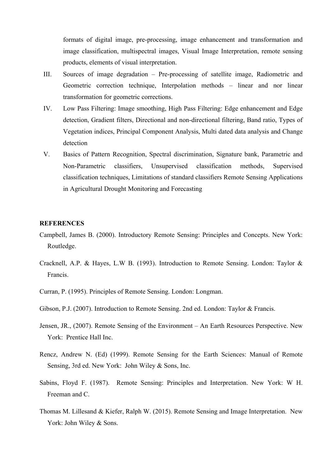formats of digital image, pre-processing, image enhancement and transformation and image classification, multispectral images, Visual Image Interpretation, remote sensing products, elements of visual interpretation.

- III. Sources of image degradation Pre-processing of satellite image, Radiometric and Geometric correction technique, Interpolation methods – linear and nor linear transformation for geometric corrections.
- IV. Low Pass Filtering: Image smoothing, High Pass Filtering: Edge enhancement and Edge detection, Gradient filters, Directional and non-directional filtering, Band ratio, Types of Vegetation indices, Principal Component Analysis, Multi dated data analysis and Change detection
- V. Basics of Pattern Recognition, Spectral discrimination, Signature bank, Parametric and Non-Parametric classifiers, Unsupervised classification methods, Supervised classification techniques, Limitations of standard classifiers Remote Sensing Applications in Agricultural Drought Monitoring and Forecasting

- Campbell, James B. (2000). Introductory Remote Sensing: Principles and Concepts. New York: Routledge.
- Cracknell, A.P. & Hayes, L.W B. (1993). Introduction to Remote Sensing. London: Taylor & Francis.
- Curran, P. (1995). Principles of Remote Sensing. London: Longman.
- Gibson, P.J. (2007). Introduction to Remote Sensing. 2nd ed. London: Taylor & Francis.
- Jensen, JR., (2007). Remote Sensing of the Environment An Earth Resources Perspective. New York: Prentice Hall Inc.
- Rencz, Andrew N. (Ed) (1999). Remote Sensing for the Earth Sciences: Manual of Remote Sensing, 3rd ed. New York: John Wiley & Sons, Inc.
- Sabins, Floyd F. (1987). Remote Sensing: Principles and Interpretation. New York: W H. Freeman and C.
- Thomas M. Lillesand & Kiefer, Ralph W. (2015). Remote Sensing and Image Interpretation. New York: John Wiley & Sons.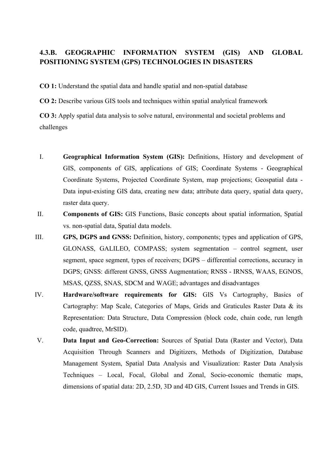#### **4.3.B. GEOGRAPHIC INFORMATION SYSTEM (GIS) AND GLOBAL POSITIONING SYSTEM (GPS) TECHNOLOGIES IN DISASTERS**

**CO 1:** Understand the spatial data and handle spatial and non-spatial database

**CO 2:** Describe various GIS tools and techniques within spatial analytical framework

**CO 3:** Apply spatial data analysis to solve natural, environmental and societal problems and challenges

- I. **Geographical Information System (GIS):** Definitions, History and development of GIS, components of GIS, applications of GIS; Coordinate Systems - Geographical Coordinate Systems, Projected Coordinate System, map projections; Geospatial data - Data input-existing GIS data, creating new data; attribute data query, spatial data query, raster data query.
- II. **Components of GIS:** GIS Functions, Basic concepts about spatial information, Spatial vs. non-spatial data, Spatial data models.
- III. **GPS, DGPS and GNSS:** Definition, history, components; types and application of GPS, GLONASS, GALILEO, COMPASS; system segmentation – control segment, user segment, space segment, types of receivers; DGPS – differential corrections, accuracy in DGPS; GNSS: different GNSS, GNSS Augmentation; RNSS - IRNSS, WAAS, EGNOS, MSAS, QZSS, SNAS, SDCM and WAGE; advantages and disadvantages
- IV. **Hardware/software requirements for GIS:** GIS Vs Cartography, Basics of Cartography: Map Scale, Categories of Maps, Grids and Graticules Raster Data & its Representation: Data Structure, Data Compression (block code, chain code, run length code, quadtree, MrSID).
- V. **Data Input and Geo-Correction:** Sources of Spatial Data (Raster and Vector), Data Acquisition Through Scanners and Digitizers, Methods of Digitization, Database Management System, Spatial Data Analysis and Visualization: Raster Data Analysis Techniques – Local, Focal, Global and Zonal, Socio-economic thematic maps, dimensions of spatial data: 2D, 2.5D, 3D and 4D GIS, Current Issues and Trends in GIS.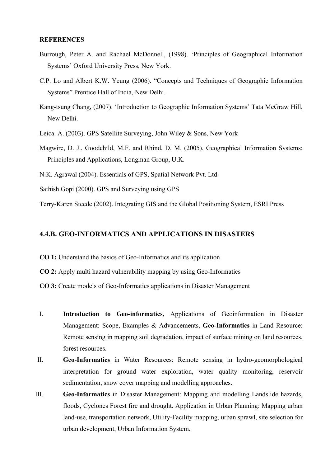#### **REFERENCES**

- Burrough, Peter A. and Rachael McDonnell, (1998). 'Principles of Geographical Information Systems' Oxford University Press, New York.
- C.P. Lo and Albert K.W. Yeung (2006). "Concepts and Techniques of Geographic Information Systems" Prentice Hall of India, New Delhi.
- Kang-tsung Chang, (2007). 'Introduction to Geographic Information Systems' Tata McGraw Hill, New Delhi.
- Leica. A. (2003). GPS Satellite Surveying, John Wiley & Sons, New York
- Magwire, D. J., Goodchild, M.F. and Rhind, D. M. (2005). Geographical Information Systems: Principles and Applications, Longman Group, U.K.
- N.K. Agrawal (2004). Essentials of GPS, Spatial Network Pvt. Ltd.
- Sathish Gopi (2000). GPS and Surveying using GPS
- Terry-Karen Steede (2002). Integrating GIS and the Global Positioning System, ESRI Press

#### **4.4.B. GEO-INFORMATICS AND APPLICATIONS IN DISASTERS**

- **CO 1:** Understand the basics of Geo-Informatics and its application
- **CO 2:** Apply multi hazard vulnerability mapping by using Geo-Informatics
- **CO 3:** Create models of Geo-Informatics applications in Disaster Management
- I. **Introduction to Geo-informatics,** Applications of Geoinformation in Disaster Management: Scope, Examples & Advancements, **Geo-Informatics** in Land Resource: Remote sensing in mapping soil degradation, impact of surface mining on land resources, forest resources.
- II. **Geo-Informatics** in Water Resources: Remote sensing in hydro-geomorphological interpretation for ground water exploration, water quality monitoring, reservoir sedimentation, snow cover mapping and modelling approaches.
- III. **Geo-Informatics** in Disaster Management: Mapping and modelling Landslide hazards, floods, Cyclones Forest fire and drought. Application in Urban Planning: Mapping urban land-use, transportation network, Utility-Facility mapping, urban sprawl, site selection for urban development, Urban Information System.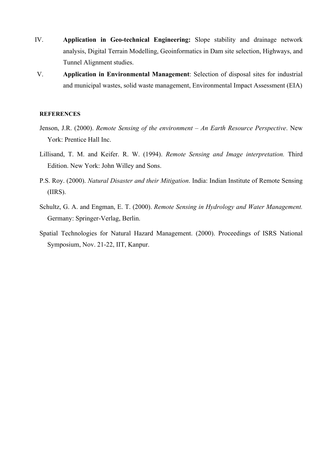- IV. **Application in Geo-technical Engineering:** Slope stability and drainage network analysis, Digital Terrain Modelling, Geoinformatics in Dam site selection, Highways, and Tunnel Alignment studies.
- V. **Application in Environmental Management**: Selection of disposal sites for industrial and municipal wastes, solid waste management, Environmental Impact Assessment (EIA)

- Jenson, J.R. (2000). *Remote Sensing of the environment – An Earth Resource Perspective*. New York: Prentice Hall Inc.
- Lillisand, T. M. and Keifer. R. W. (1994). *Remote Sensing and Image interpretation.* Third Edition. New York: John Willey and Sons.
- P.S. Roy. (2000). *Natural Disaster and their Mitigation*. India: Indian Institute of Remote Sensing (IIRS).
- Schultz, G. A. and Engman, E. T. (2000). *Remote Sensing in Hydrology and Water Management.* Germany: Springer-Verlag, Berlin.
- Spatial Technologies for Natural Hazard Management. (2000). Proceedings of ISRS National Symposium, Nov. 21-22, IIT, Kanpur.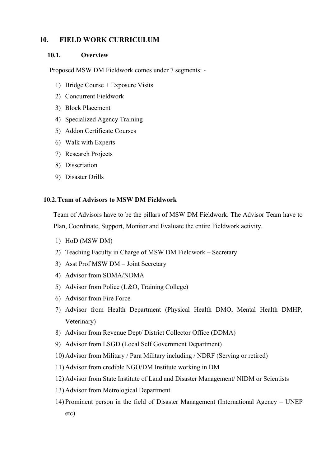#### **10. FIELD WORK CURRICULUM**

#### **10.1. Overview**

Proposed MSW DM Fieldwork comes under 7 segments: -

- 1) Bridge Course + Exposure Visits
- 2) Concurrent Fieldwork
- 3) Block Placement
- 4) Specialized Agency Training
- 5) Addon Certificate Courses
- 6) Walk with Experts
- 7) Research Projects
- 8) Dissertation
- 9) Disaster Drills

#### **10.2.Team of Advisors to MSW DM Fieldwork**

Team of Advisors have to be the pillars of MSW DM Fieldwork. The Advisor Team have to Plan, Coordinate, Support, Monitor and Evaluate the entire Fieldwork activity.

- 1) HoD (MSW DM)
- 2) Teaching Faculty in Charge of MSW DM Fieldwork Secretary
- 3) Asst Prof MSW DM Joint Secretary
- 4) Advisor from SDMA/NDMA
- 5) Advisor from Police (L&O, Training College)
- 6) Advisor from Fire Force
- 7) Advisor from Health Department (Physical Health DMO, Mental Health DMHP, Veterinary)
- 8) Advisor from Revenue Dept/ District Collector Office (DDMA)
- 9) Advisor from LSGD (Local Self Government Department)
- 10) Advisor from Military / Para Military including / NDRF (Serving or retired)
- 11) Advisor from credible NGO/DM Institute working in DM
- 12) Advisor from State Institute of Land and Disaster Management/ NIDM or Scientists
- 13) Advisor from Metrological Department
- 14) Prominent person in the field of Disaster Management (International Agency UNEP etc)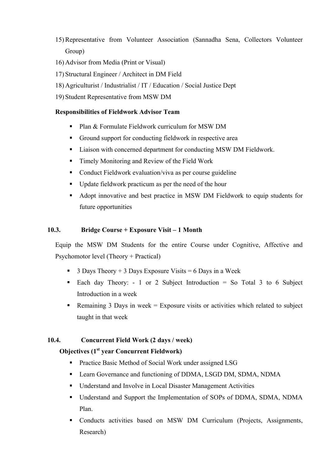- 15) Representative from Volunteer Association (Sannadha Sena, Collectors Volunteer Group)
- 16) Advisor from Media (Print or Visual)
- 17) Structural Engineer / Architect in DM Field
- 18) Agriculturist / Industrialist / IT / Education / Social Justice Dept
- 19) Student Representative from MSW DM

#### **Responsibilities of Fieldwork Advisor Team**

- § Plan & Formulate Fieldwork curriculum for MSW DM
- Ground support for conducting fieldwork in respective area
- Liaison with concerned department for conducting MSW DM Fieldwork.
- Timely Monitoring and Review of the Field Work
- Conduct Fieldwork evaluation/viva as per course guideline
- Update fieldwork practicum as per the need of the hour
- Adopt innovative and best practice in MSW DM Fieldwork to equip students for future opportunities

#### **10.3. Bridge Course + Exposure Visit – 1 Month**

Equip the MSW DM Students for the entire Course under Cognitive, Affective and Psychomotor level (Theory + Practical)

- **3 Days Theory + 3 Days Exposure Visits = 6 Days in a Week**
- Each day Theory: 1 or 2 Subject Introduction = So Total 3 to 6 Subject Introduction in a week
- Remaining 3 Days in week  $=$  Exposure visits or activities which related to subject taught in that week

#### **10.4. Concurrent Field Work (2 days / week)**

#### **Objectives (1st year Concurrent Fieldwork)**

- § Practice Basic Method of Social Work under assigned LSG
- Learn Governance and functioning of DDMA, LSGD DM, SDMA, NDMA
- Understand and Involve in Local Disaster Management Activities
- Understand and Support the Implementation of SOPs of DDMA, SDMA, NDMA Plan.
- Conducts activities based on MSW DM Curriculum (Projects, Assignments, Research)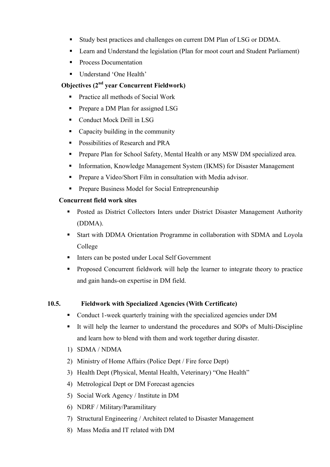- § Study best practices and challenges on current DM Plan of LSG or DDMA.
- Learn and Understand the legislation (Plan for moot court and Student Parliament)
- Process Documentation
- Understand 'One Health'

#### **Objectives (2nd year Concurrent Fieldwork)**

- Practice all methods of Social Work
- Prepare a DM Plan for assigned LSG
- § Conduct Mock Drill in LSG
- Capacity building in the community
- Possibilities of Research and PRA
- § Prepare Plan for School Safety, Mental Health or any MSW DM specialized area.
- Information, Knowledge Management System (IKMS) for Disaster Management
- Prepare a Video/Short Film in consultation with Media advisor.
- § Prepare Business Model for Social Entrepreneurship

#### **Concurrent field work sites**

- Posted as District Collectors Inters under District Disaster Management Authority (DDMA).
- Start with DDMA Orientation Programme in collaboration with SDMA and Loyola College
- Inters can be posted under Local Self Government
- Proposed Concurrent fieldwork will help the learner to integrate theory to practice and gain hands-on expertise in DM field.

#### **10.5. Fieldwork with Specialized Agencies (With Certificate)**

- Conduct 1-week quarterly training with the specialized agencies under DM
- § It will help the learner to understand the procedures and SOPs of Multi-Discipline and learn how to blend with them and work together during disaster.
- 1) SDMA / NDMA
- 2) Ministry of Home Affairs (Police Dept / Fire force Dept)
- 3) Health Dept (Physical, Mental Health, Veterinary) "One Health"
- 4) Metrological Dept or DM Forecast agencies
- 5) Social Work Agency / Institute in DM
- 6) NDRF / Military/Paramilitary
- 7) Structural Engineering / Architect related to Disaster Management
- 8) Mass Media and IT related with DM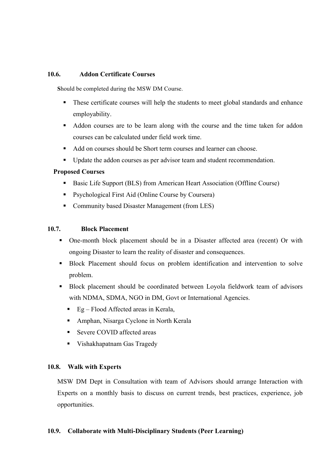#### **10.6. Addon Certificate Courses**

**S**hould be completed during the MSW DM Course.

- These certificate courses will help the students to meet global standards and enhance employability.
- Addon courses are to be learn along with the course and the time taken for addon courses can be calculated under field work time.
- Add on courses should be Short term courses and learner can choose.
- Update the addon courses as per advisor team and student recommendation.

#### **Proposed Courses**

- Basic Life Support (BLS) from American Heart Association (Offline Course)
- Psychological First Aid (Online Course by Coursera)
- Community based Disaster Management (from LES)

#### **10.7. Block Placement**

- § One-month block placement should be in a Disaster affected area (recent) Or with ongoing Disaster to learn the reality of disaster and consequences.
- **•** Block Placement should focus on problem identification and intervention to solve problem.
- § Block placement should be coordinated between Loyola fieldwork team of advisors with NDMA, SDMA, NGO in DM, Govt or International Agencies.
	- Eg Flood Affected areas in Kerala,
	- Amphan, Nisarga Cyclone in North Kerala
	- Severe COVID affected areas
	- Vishakhapatnam Gas Tragedy

#### **10.8. Walk with Experts**

MSW DM Dept in Consultation with team of Advisors should arrange Interaction with Experts on a monthly basis to discuss on current trends, best practices, experience, job opportunities.

#### **10.9. Collaborate with Multi-Disciplinary Students (Peer Learning)**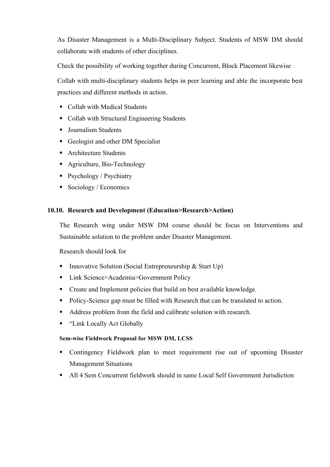As Disaster Management is a Multi-Disciplinary Subject. Students of MSW DM should collaborate with students of other disciplines.

Check the possibility of working together during Concurrent, Block Placement likewise

Collab with multi-disciplinary students helps in peer learning and able the incorporate best practices and different methods in action.

- Collab with Medical Students
- Collab with Structural Engineering Students
- Journalism Students
- Geologist and other DM Specialist
- Architecture Students
- Agriculture, Bio-Technology
- Psychology / Psychiatry
- Sociology / Economics

#### **10.10. Research and Development (Education>Research>Action)**

The Research wing under MSW DM course should be focus on Interventions and Sustainable solution to the problem under Disaster Management.

Research should look for

- Innovative Solution (Social Entrepreneurship & Start Up)
- Link Science>Academia>Government Policy
- Create and Implement policies that build on best available knowledge.
- Policy-Science gap must be filled with Research that can be translated to action.
- Address problem from the field and calibrate solution with research.
- "Link Locally Act Globally

#### **Sem-wise Fieldwork Proposal for MSW DM, LCSS**

- § Contingency Fieldwork plan to meet requirement rise out of upcoming Disaster Management Situations
- All 4 Sem Concurrent fieldwork should in same Local Self Government Jurisdiction